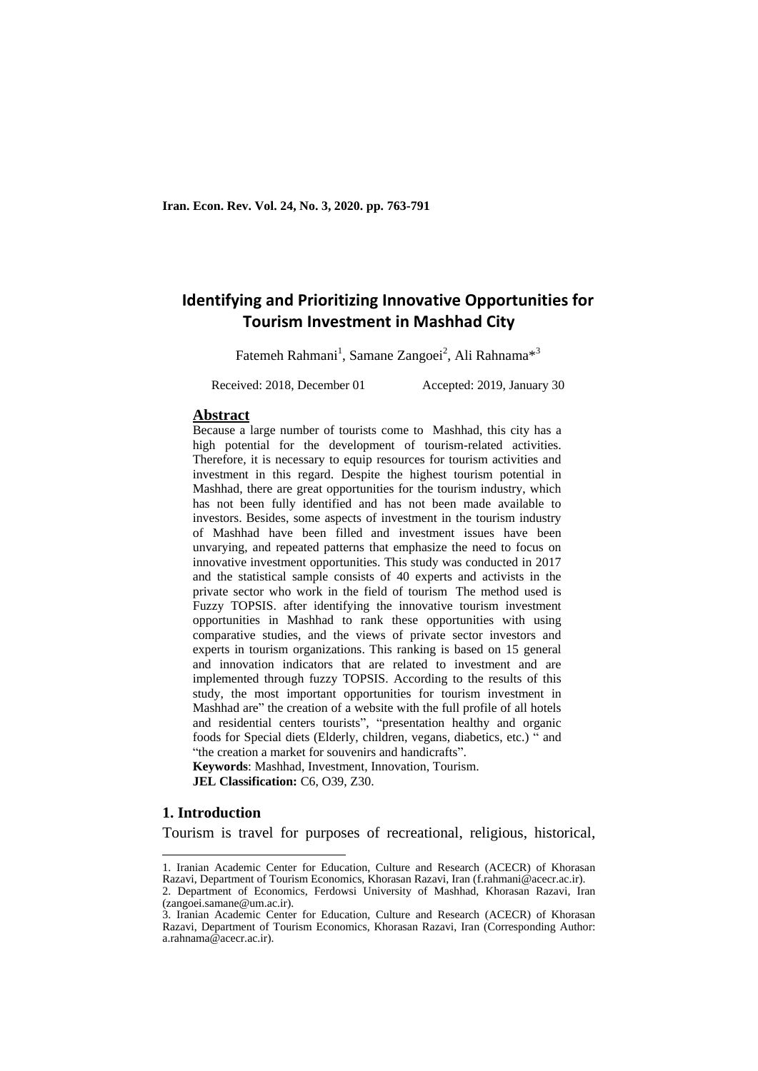## **Identifying and Prioritizing Innovative Opportunities for Tourism Investment in Mashhad City**

Fatemeh Rahmani<sup>1</sup>, Samane Zangoei<sup>2</sup>, Ali Rahnama<sup>\*3</sup>

Received: 2018, December 01 Accepted: 2019, January 30

#### **Abstract**

Because a large number of tourists come to Mashhad, this city has a high potential for the development of tourism-related activities. Therefore, it is necessary to equip resources for tourism activities and investment in this regard. Despite the highest tourism potential in Mashhad, there are great opportunities for the tourism industry, which has not been fully identified and has not been made available to investors. Besides, some aspects of investment in the tourism industry of Mashhad have been filled and investment issues have been unvarying, and repeated patterns that emphasize the need to focus on innovative investment opportunities. This study was conducted in 2017 and the statistical sample consists of 40 experts and activists in the private sector who work in the field of tourism The method used is Fuzzy TOPSIS. after identifying the innovative tourism investment opportunities in Mashhad to rank these opportunities with using comparative studies, and the views of private sector investors and experts in tourism organizations. This ranking is based on 15 general and innovation indicators that are related to investment and are implemented through fuzzy TOPSIS. According to the results of this study, the most important opportunities for tourism investment in Mashhad are" the creation of a website with the full profile of all hotels and residential centers tourists", "presentation healthy and organic foods for Special diets (Elderly, children, vegans, diabetics, etc.) " and "the creation a market for souvenirs and handicrafts".

**Keywords**: Mashhad, Investment, Innovation, Tourism. **JEL Classification:** C6, O39, Z30.

#### **1. Introduction**

 $\overline{\phantom{a}}$ 

Tourism is travel for purposes of recreational, religious, historical,

<sup>1.</sup> Iranian Academic Center for Education, Culture and Research (ACECR) of Khorasan Razavi, Department of Tourism Economics, Khorasan Razavi, Iran (f.rahmani@acecr.ac.ir).

<sup>2.</sup> Department of Economics, Ferdowsi University of Mashhad, Khorasan Razavi, Iran (zangoei.samane@um.ac.ir).

<sup>3.</sup> Iranian Academic Center for Education, Culture and Research (ACECR) of Khorasan Razavi, Department of Tourism Economics, Khorasan Razavi, Iran (Corresponding Author: a.rahnama@acecr.ac.ir).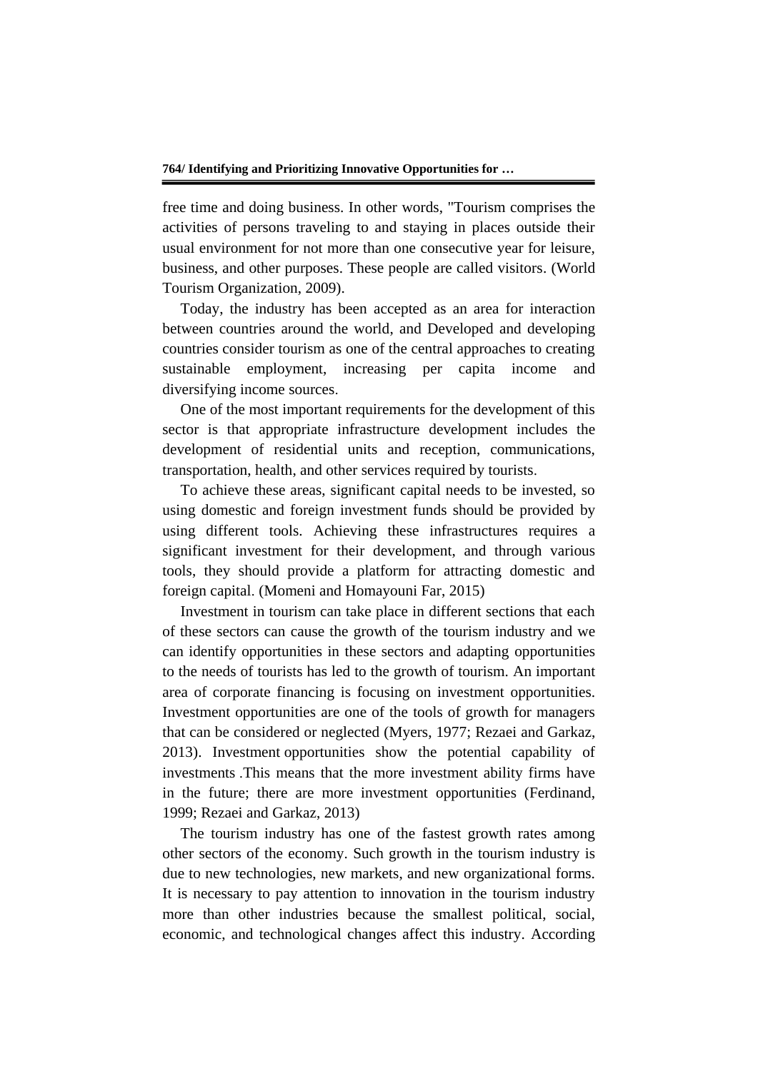free time and doing business. In other words, "Tourism comprises the activities of persons traveling to and staying in places outside their usual environment for not more than one consecutive year for leisure, business, and other purposes. These people are called visitors. (World Tourism Organization, 2009).

Today, the industry has been accepted as an area for interaction between countries around the world, and Developed and developing countries consider tourism as one of the central approaches to creating sustainable employment, increasing per capita income and diversifying income sources.

One of the most important requirements for the development of this sector is that appropriate infrastructure development includes the development of residential units and reception, communications, transportation, health, and other services required by tourists.

To achieve these areas, significant capital needs to be invested, so using domestic and foreign investment funds should be provided by using different tools. Achieving these infrastructures requires a significant investment for their development, and through various tools, they should provide a platform for attracting domestic and foreign capital. (Momeni and Homayouni Far, 2015)

Investment in tourism can take place in different sections that each of these sectors can cause the growth of the tourism industry and we can identify opportunities in these sectors and adapting opportunities to the needs of tourists has led to the growth of tourism. An important area of corporate financing is focusing on investment opportunities. Investment opportunities are one of the tools of growth for managers that can be considered or neglected (Myers, 1977; Rezaei and Garkaz, 2013). Investment opportunities show the potential capability of investments .This means that the more investment ability firms have in the future; there are more investment opportunities (Ferdinand, 1999; Rezaei and Garkaz, 2013)

The tourism industry has one of the fastest growth rates among other sectors of the economy. Such growth in the tourism industry is due to new technologies, new markets, and new organizational forms. It is necessary to pay attention to innovation in the tourism industry more than other industries because the smallest political, social, economic, and technological changes affect this industry. According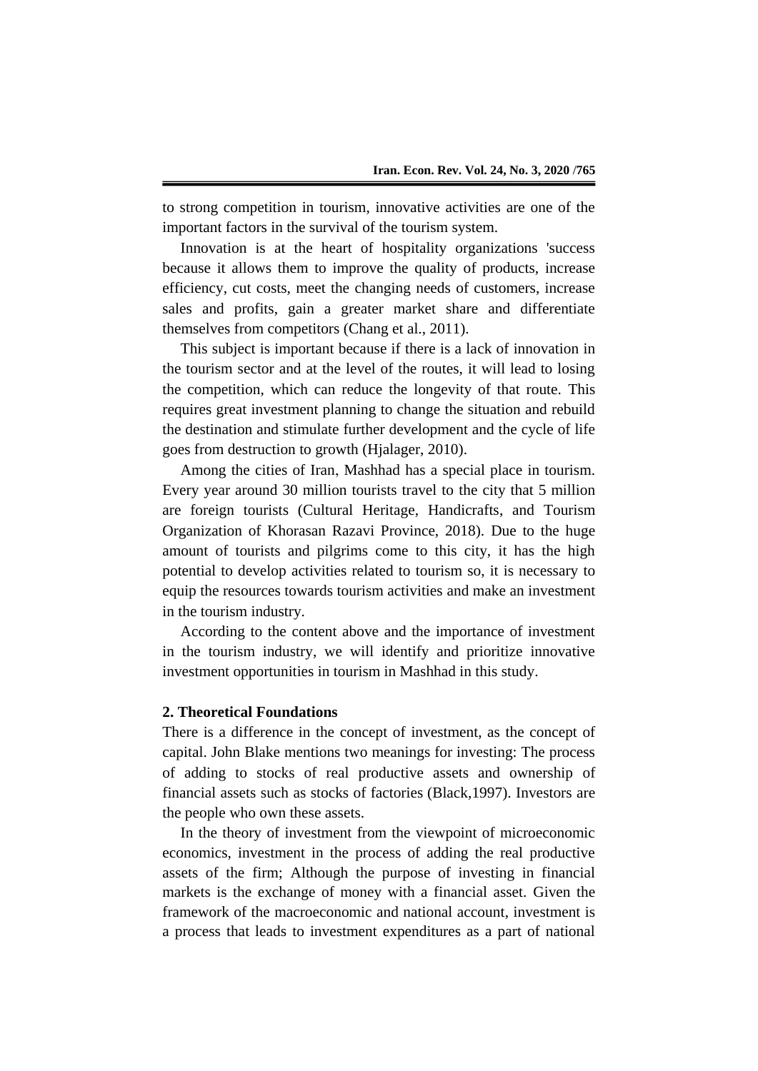to strong competition in tourism, innovative activities are one of the important factors in the survival of the tourism system.

Innovation is at the heart of hospitality organizations 'success because it allows them to improve the quality of products, increase efficiency, cut costs, meet the changing needs of customers, increase sales and profits, gain a greater market share and differentiate themselves from competitors (Chang et al., 2011).

This subject is important because if there is a lack of innovation in the tourism sector and at the level of the routes, it will lead to losing the competition, which can reduce the longevity of that route. This requires great investment planning to change the situation and rebuild the destination and stimulate further development and the cycle of life goes from destruction to growth (Hjalager, 2010).

Among the cities of Iran, Mashhad has a special place in tourism. Every year around 30 million tourists travel to the city that 5 million are foreign tourists (Cultural Heritage, Handicrafts, and Tourism Organization of Khorasan Razavi Province, 2018). Due to the huge amount of tourists and pilgrims come to this city, it has the high potential to develop activities related to tourism so, it is necessary to equip the resources towards tourism activities and make an investment in the tourism industry.

According to the content above and the importance of investment in the tourism industry, we will identify and prioritize innovative investment opportunities in tourism in Mashhad in this study.

#### **2. Theoretical Foundations**

There is a difference in the concept of investment, as the concept of capital. John Blake mentions two meanings for investing: The process of adding to stocks of real productive assets and ownership of financial assets such as stocks of factories (Black,1997). Investors are the people who own these assets.

In the theory of investment from the viewpoint of microeconomic economics, investment in the process of adding the real productive assets of the firm; Although the purpose of investing in financial markets is the exchange of money with a financial asset. Given the framework of the macroeconomic and national account, investment is a process that leads to investment expenditures as a part of national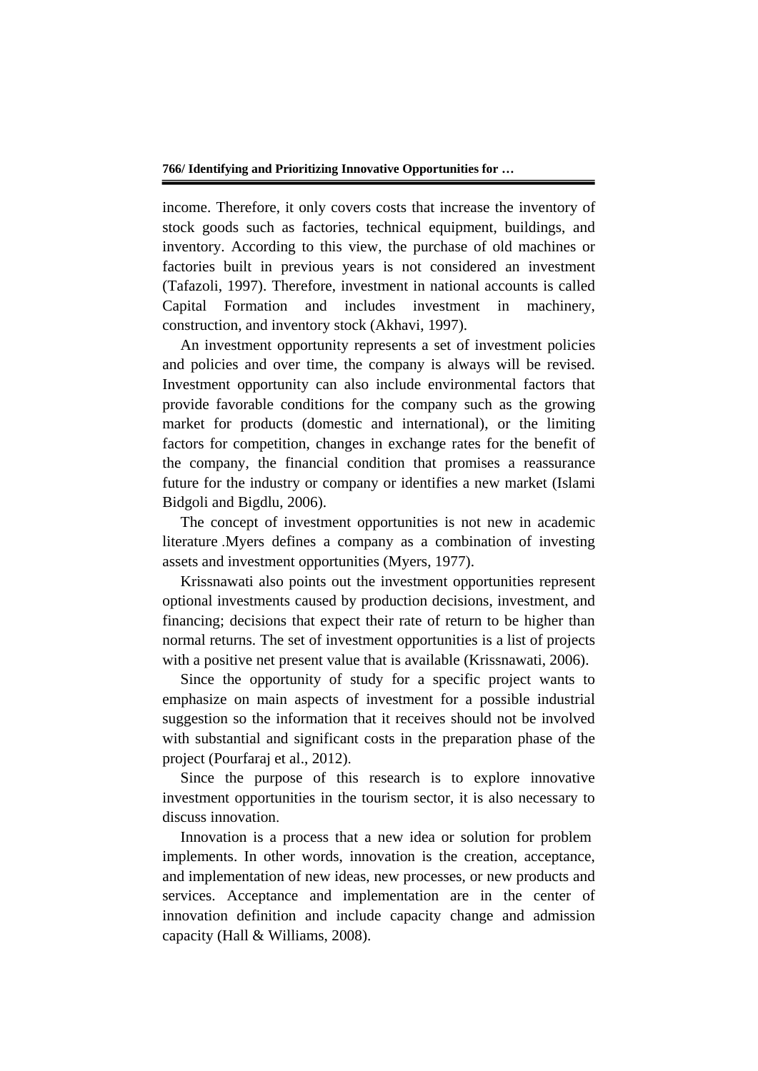income. Therefore, it only covers costs that increase the inventory of stock goods such as factories, technical equipment, buildings, and inventory. According to this view, the purchase of old machines or factories built in previous years is not considered an investment (Tafazoli, 1997). Therefore, investment in national accounts is called Capital Formation and includes investment in machinery, construction, and inventory stock (Akhavi, 1997).

An investment opportunity represents a set of investment policies and policies and over time, the company is always will be revised. Investment opportunity can also include environmental factors that provide favorable conditions for the company such as the growing market for products (domestic and international), or the limiting factors for competition, changes in exchange rates for the benefit of the company, the financial condition that promises a reassurance future for the industry or company or identifies a new market (Islami Bidgoli and Bigdlu, 2006).

The concept of investment opportunities is not new in academic literature .Myers defines a company as a combination of investing assets and investment opportunities (Myers, 1977).

Krissnawati also points out the investment opportunities represent optional investments caused by production decisions, investment, and financing; decisions that expect their rate of return to be higher than normal returns. The set of investment opportunities is a list of projects with a positive net present value that is available (Krissnawati, 2006).

Since the opportunity of study for a specific project wants to emphasize on main aspects of investment for a possible industrial suggestion so the information that it receives should not be involved with substantial and significant costs in the preparation phase of the project (Pourfaraj et al., 2012).

Since the purpose of this research is to explore innovative investment opportunities in the tourism sector, it is also necessary to discuss innovation.

Innovation is a process that a new idea or solution for problem implements. In other words, innovation is the creation, acceptance, and implementation of new ideas, new processes, or new products and services. Acceptance and implementation are in the center of innovation definition and include capacity change and admission capacity (Hall & Williams, 2008).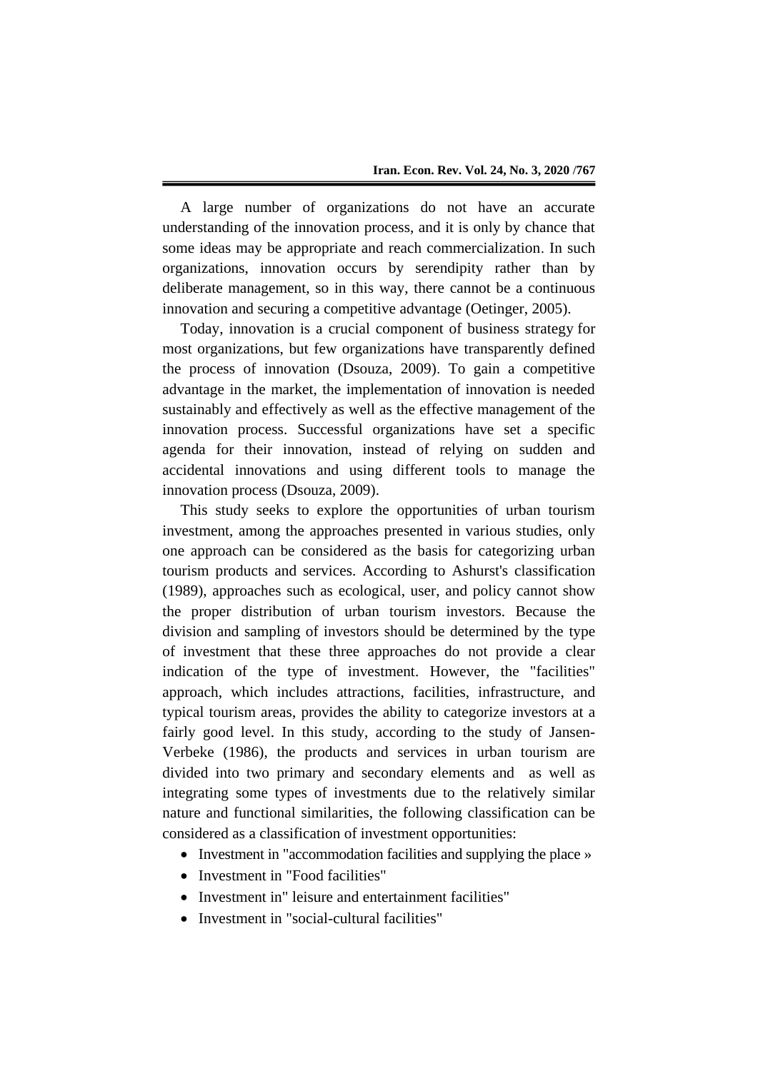A large number of organizations do not have an accurate understanding of the innovation process, and it is only by chance that some ideas may be appropriate and reach commercialization. In such organizations, innovation occurs by serendipity rather than by deliberate management, so in this way, there cannot be a continuous innovation and securing a competitive advantage (Oetinger, 2005).

Today, innovation is a crucial component of business strategy for most organizations, but few organizations have transparently defined the process of innovation (Dsouza, 2009). To gain a competitive advantage in the market, the implementation of innovation is needed sustainably and effectively as well as the effective management of the innovation process. Successful organizations have set a specific agenda for their innovation, instead of relying on sudden and accidental innovations and using different tools to manage the innovation process (Dsouza, 2009).

This study seeks to explore the opportunities of urban tourism investment, among the approaches presented in various studies, only one approach can be considered as the basis for categorizing urban tourism products and services. According to Ashurst's classification (1989), approaches such as ecological, user, and policy cannot show the proper distribution of urban tourism investors. Because the division and sampling of investors should be determined by the type of investment that these three approaches do not provide a clear indication of the type of investment. However, the "facilities" approach, which includes attractions, facilities, infrastructure, and typical tourism areas, provides the ability to categorize investors at a fairly good level. In this study, according to the study of Jansen-Verbeke (1986), the products and services in urban tourism are divided into two primary and secondary elements and as well as integrating some types of investments due to the relatively similar nature and functional similarities, the following classification can be considered as a classification of investment opportunities:

- Investment in "accommodation facilities and supplying the place »
- Investment in "Food facilities"
- Investment in" leisure and entertainment facilities"
- Investment in "social-cultural facilities"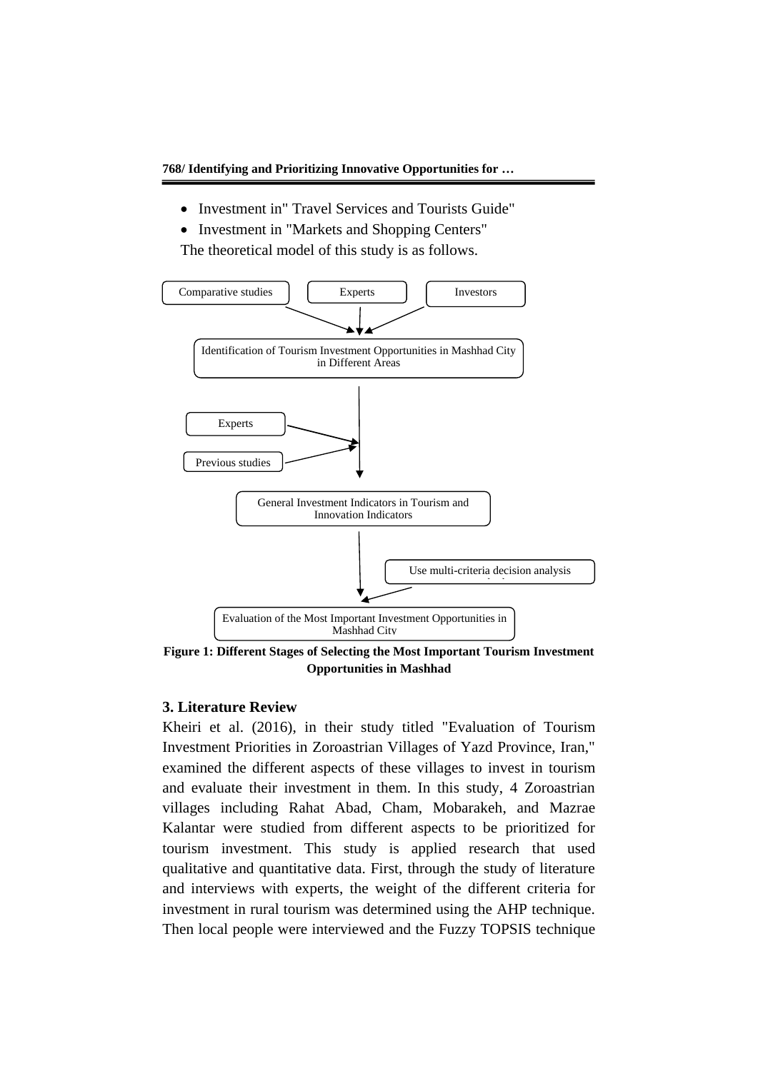- Investment in" Travel Services and Tourists Guide"
- Investment in "Markets and Shopping Centers" The theoretical model of this study is as follows.



**Figure 1: Different Stages of Selecting the Most Important Tourism Investment Opportunities in Mashhad**

#### **3. Literature Review**

Kheiri et al. (2016), in their study titled "Evaluation of Tourism Investment Priorities in Zoroastrian Villages of Yazd Province, Iran," examined the different aspects of these villages to invest in tourism and evaluate their investment in them. In this study, 4 Zoroastrian villages including Rahat Abad, Cham, Mobarakeh, and Mazrae Kalantar were studied from different aspects to be prioritized for tourism investment. This study is applied research that used qualitative and quantitative data. First, through the study of literature and interviews with experts, the weight of the different criteria for investment in rural tourism was determined using the AHP technique. Then local people were interviewed and the Fuzzy TOPSIS technique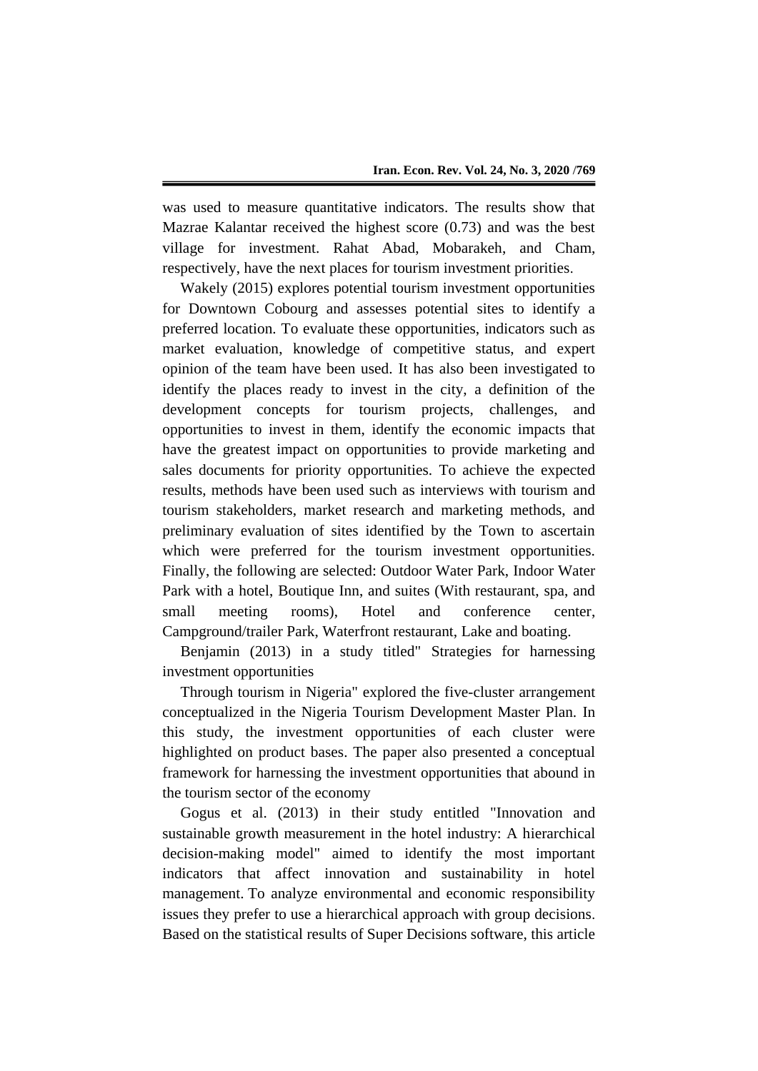was used to measure quantitative indicators. The results show that Mazrae Kalantar received the highest score (0.73) and was the best village for investment. Rahat Abad, Mobarakeh, and Cham, respectively, have the next places for tourism investment priorities.

Wakely (2015) explores potential tourism investment opportunities for Downtown Cobourg and assesses potential sites to identify a preferred location. To evaluate these opportunities, indicators such as market evaluation, knowledge of competitive status, and expert opinion of the team have been used. It has also been investigated to identify the places ready to invest in the city, a definition of the development concepts for tourism projects, challenges, and opportunities to invest in them, identify the economic impacts that have the greatest impact on opportunities to provide marketing and sales documents for priority opportunities. To achieve the expected results, methods have been used such as interviews with tourism and tourism stakeholders, market research and marketing methods, and preliminary evaluation of sites identified by the Town to ascertain which were preferred for the tourism investment opportunities. Finally, the following are selected: Outdoor Water Park, Indoor Water Park with a hotel, Boutique Inn, and suites (With restaurant, spa, and small meeting rooms), Hotel and conference center, Campground/trailer Park, Waterfront restaurant, Lake and boating.

Benjamin (2013) in a study titled" Strategies for harnessing investment opportunities

Through tourism in Nigeria" explored the five-cluster arrangement conceptualized in the Nigeria Tourism Development Master Plan. In this study, the investment opportunities of each cluster were highlighted on product bases. The paper also presented a conceptual framework for harnessing the investment opportunities that abound in the tourism sector of the economy

Gogus et al. (2013) in their study entitled "Innovation and sustainable growth measurement in the hotel industry: A hierarchical decision-making model" aimed to identify the most important indicators that affect innovation and sustainability in hotel management. To analyze environmental and economic responsibility issues they prefer to use a hierarchical approach with group decisions. Based on the statistical results of Super Decisions software, this article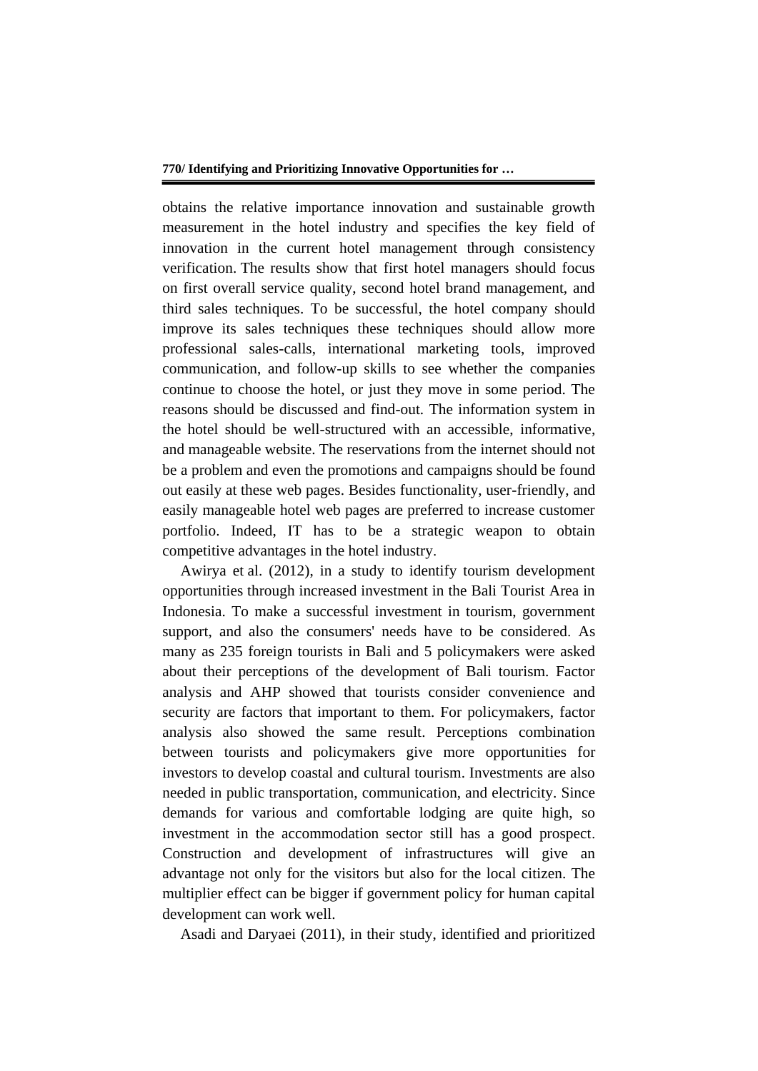obtains the relative importance innovation and sustainable growth measurement in the hotel industry and specifies the key field of innovation in the current hotel management through consistency verification. The results show that first hotel managers should focus on first overall service quality, second hotel brand management, and third sales techniques. To be successful, the hotel company should improve its sales techniques these techniques should allow more professional sales-calls, international marketing tools, improved communication, and follow-up skills to see whether the companies continue to choose the hotel, or just they move in some period. The reasons should be discussed and find-out. The information system in the hotel should be well-structured with an accessible, informative, and manageable website. The reservations from the internet should not be a problem and even the promotions and campaigns should be found out easily at these web pages. Besides functionality, user-friendly, and easily manageable hotel web pages are preferred to increase customer portfolio. Indeed, IT has to be a strategic weapon to obtain competitive advantages in the hotel industry.

Awirya et al. (2012), in a study to identify tourism development opportunities through increased investment in the Bali Tourist Area in Indonesia. To make a successful investment in tourism, government support, and also the consumers' needs have to be considered. As many as 235 foreign tourists in Bali and 5 policymakers were asked about their perceptions of the development of Bali tourism. Factor analysis and AHP showed that tourists consider convenience and security are factors that important to them. For policymakers, factor analysis also showed the same result. Perceptions combination between tourists and policymakers give more opportunities for investors to develop coastal and cultural tourism. Investments are also needed in public transportation, communication, and electricity. Since demands for various and comfortable lodging are quite high, so investment in the accommodation sector still has a good prospect. Construction and development of infrastructures will give an advantage not only for the visitors but also for the local citizen. The multiplier effect can be bigger if government policy for human capital development can work well.

Asadi and Daryaei (2011), in their study, identified and prioritized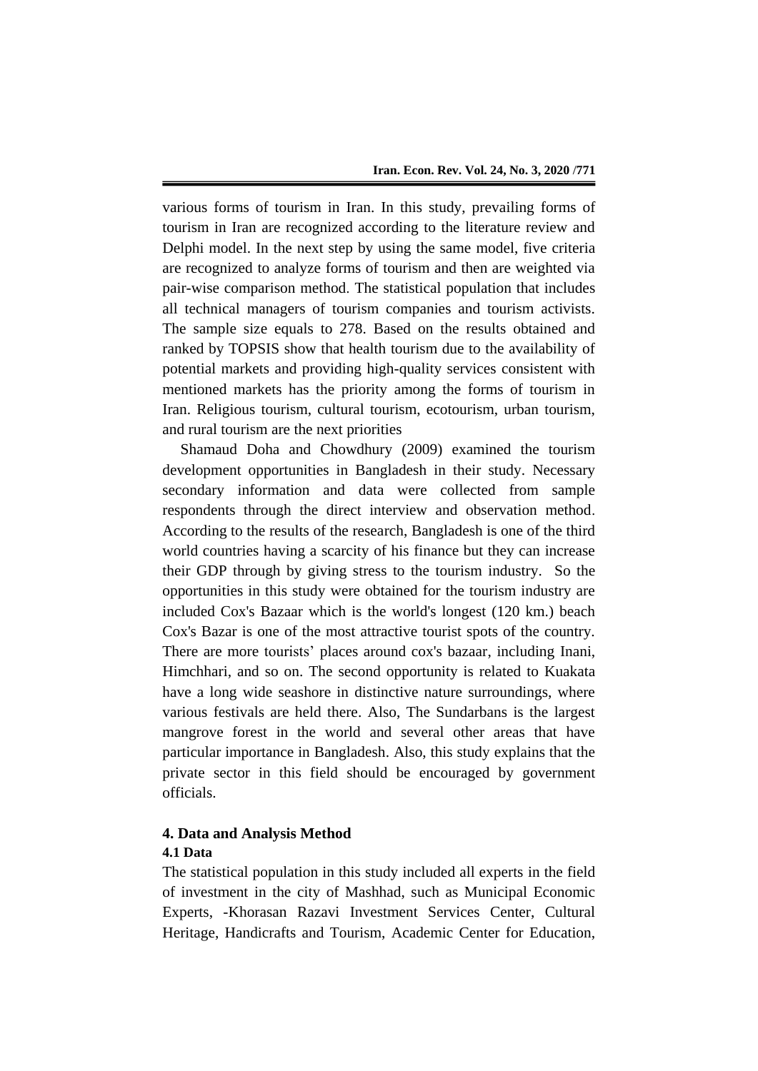various forms of tourism in Iran. In this study, prevailing forms of tourism in Iran are recognized according to the literature review and Delphi model. In the next step by using the same model, five criteria are recognized to analyze forms of tourism and then are weighted via pair-wise comparison method. The statistical population that includes all technical managers of tourism companies and tourism activists. The sample size equals to 278. Based on the results obtained and ranked by TOPSIS show that health tourism due to the availability of potential markets and providing high-quality services consistent with mentioned markets has the priority among the forms of tourism in Iran. Religious tourism, cultural tourism, ecotourism, urban tourism, and rural tourism are the next priorities

Shamaud Doha and Chowdhury (2009) examined the tourism development opportunities in Bangladesh in their study. Necessary secondary information and data were collected from sample respondents through the direct interview and observation method. According to the results of the research, Bangladesh is one of the third world countries having a scarcity of his finance but they can increase their GDP through by giving stress to the tourism industry. So the opportunities in this study were obtained for the tourism industry are included Cox's Bazaar which is the world's longest (120 km.) beach Cox's Bazar is one of the most attractive tourist spots of the country. There are more tourists' places around cox's bazaar, including Inani, Himchhari, and so on. The second opportunity is related to Kuakata have a long wide seashore in distinctive nature surroundings, where various festivals are held there. Also, The Sundarbans is the largest mangrove forest in the world and several other areas that have particular importance in Bangladesh. Also, this study explains that the private sector in this field should be encouraged by government officials.

#### **4. Data and Analysis Method 4.1 Data**

The statistical population in this study included all experts in the field of investment in the city of Mashhad, such as Municipal Economic Experts, -Khorasan Razavi Investment Services Center, Cultural Heritage, Handicrafts and Tourism, Academic Center for Education,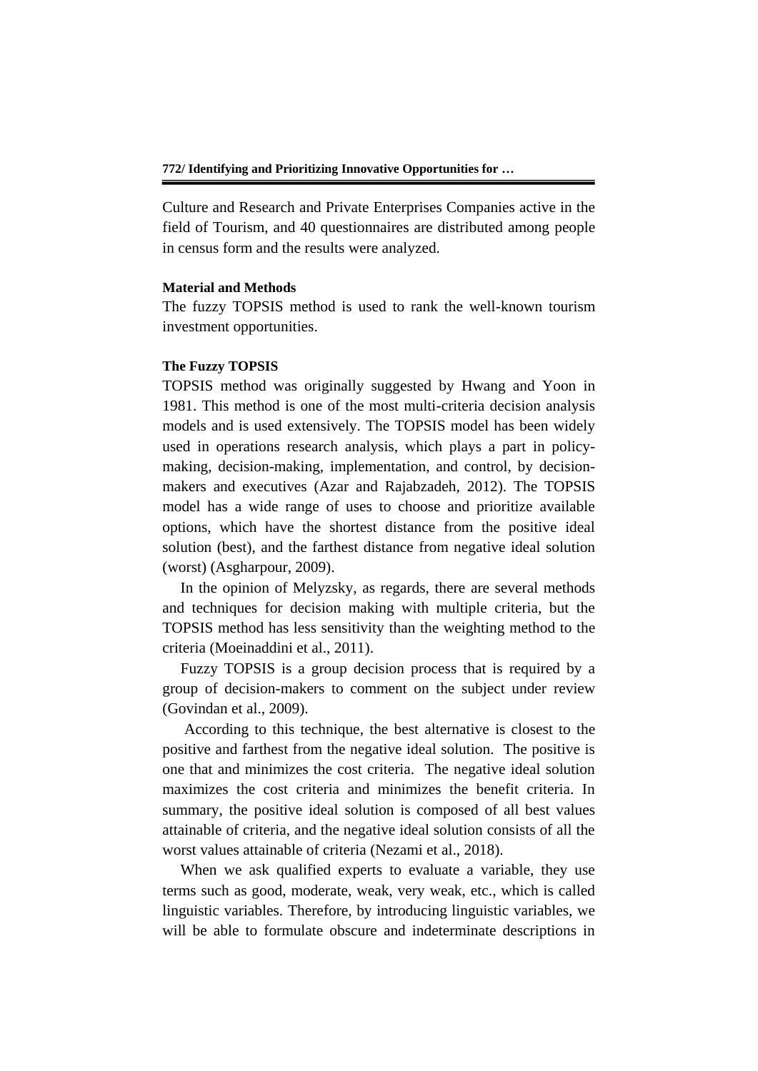Culture and Research and Private Enterprises Companies active in the field of Tourism, and 40 questionnaires are distributed among people in census form and the results were analyzed.

#### **Material and Methods**

The fuzzy TOPSIS method is used to rank the well-known tourism investment opportunities.

#### **The Fuzzy TOPSIS**

TOPSIS method was originally suggested by Hwang and Yoon in 1981. This method is one of the most multi-criteria decision analysis models and is used extensively. The TOPSIS model has been widely used in operations research analysis, which plays a part in policymaking, decision-making, implementation, and control, by decisionmakers and executives (Azar and Rajabzadeh, 2012). The TOPSIS model has a wide range of uses to choose and prioritize available options, which have the shortest distance from the positive ideal solution (best), and the farthest distance from negative ideal solution (worst) (Asgharpour, 2009).

In the opinion of Melyzsky, as regards, there are several methods and techniques for decision making with multiple criteria, but the TOPSIS method has less sensitivity than the weighting method to the criteria (Moeinaddini et al., 2011).

Fuzzy TOPSIS is a group decision process that is required by a group of decision-makers to comment on the subject under review (Govindan et al., 2009).

According to this technique, the best alternative is closest to the positive and farthest from the negative ideal solution. The positive is one that and minimizes the cost criteria. The negative ideal solution maximizes the cost criteria and minimizes the benefit criteria. In summary, the positive ideal solution is composed of all best values attainable of criteria, and the negative ideal solution consists of all the worst values attainable of criteria (Nezami et al., 2018).

When we ask qualified experts to evaluate a variable, they use terms such as good, moderate, weak, very weak, etc., which is called linguistic variables. Therefore, by introducing linguistic variables, we will be able to formulate obscure and indeterminate descriptions in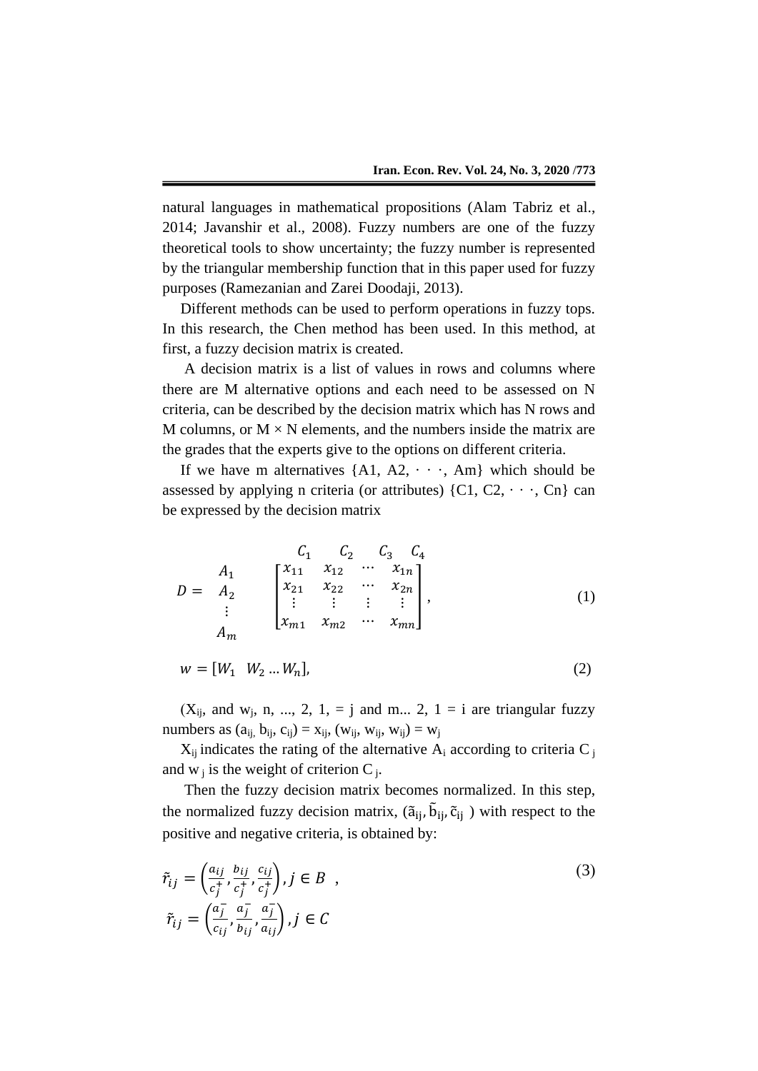natural languages in mathematical propositions (Alam Tabriz et al., 2014; Javanshir et al., 2008). Fuzzy numbers are one of the fuzzy theoretical tools to show uncertainty; the fuzzy number is represented by the triangular membership function that in this paper used for fuzzy purposes (Ramezanian and Zarei Doodaji, 2013).

Different methods can be used to perform operations in fuzzy tops. In this research, the Chen method has been used. In this method, at first, a fuzzy decision matrix is created.

A decision matrix is a list of values in rows and columns where there are M alternative options and each need to be assessed on N criteria, can be described by the decision matrix which has N rows and M columns, or  $M \times N$  elements, and the numbers inside the matrix are the grades that the experts give to the options on different criteria.

If we have m alternatives  $\{A1, A2, \cdots, Am\}$  which should be assessed by applying n criteria (or attributes)  $\{C_1, C_2, \dots, C_n\}$  can be expressed by the decision matrix

$$
D = \n\begin{array}{c}\nA_1 \\
A_2 \\
\vdots \\
A_m\n\end{array}\n\qquad\n\begin{bmatrix}\nx_{11} & x_{12} & \cdots & x_{1n} \\
x_{21} & x_{22} & \cdots & x_{2n} \\
\vdots & \vdots & \vdots & \vdots \\
x_{m1} & x_{m2} & \cdots & x_{mn}\n\end{bmatrix},
$$
\n(1)

$$
w = [W_1 \quad W_2 \dots W_n], \tag{2}
$$

 $(X_{ii}$ , and w<sub>i</sub>, n, ..., 2, 1, = j and m... 2, 1 = i are triangular fuzzy numbers as  $(a_{ii}, b_{ii}, c_{ii}) = x_{ii}$ ,  $(w_{ii}, w_{ii}, w_{ii}) = w_i$ 

 $X_{ii}$  indicates the rating of the alternative  $A_i$  according to criteria C  $_i$ and  $w_j$  is the weight of criterion  $C_j$ .

Then the fuzzy decision matrix becomes normalized. In this step, the normalized fuzzy decision matrix,  $(\tilde{a}_{ij}, \tilde{b}_{ij}, \tilde{c}_{ij})$  with respect to the positive and negative criteria, is obtained by:

$$
\tilde{r}_{ij} = \left(\frac{a_{ij}}{c_j^+}, \frac{b_{ij}}{c_j^+}, \frac{c_{ij}}{c_j^+}\right), j \in B ,
$$
\n
$$
\tilde{r}_{ij} = \left(\frac{a_j^-}{c_{ij}}, \frac{a_j^-}{b_{ij}}, \frac{a_j^-}{a_{ij}}\right), j \in C
$$
\n(3)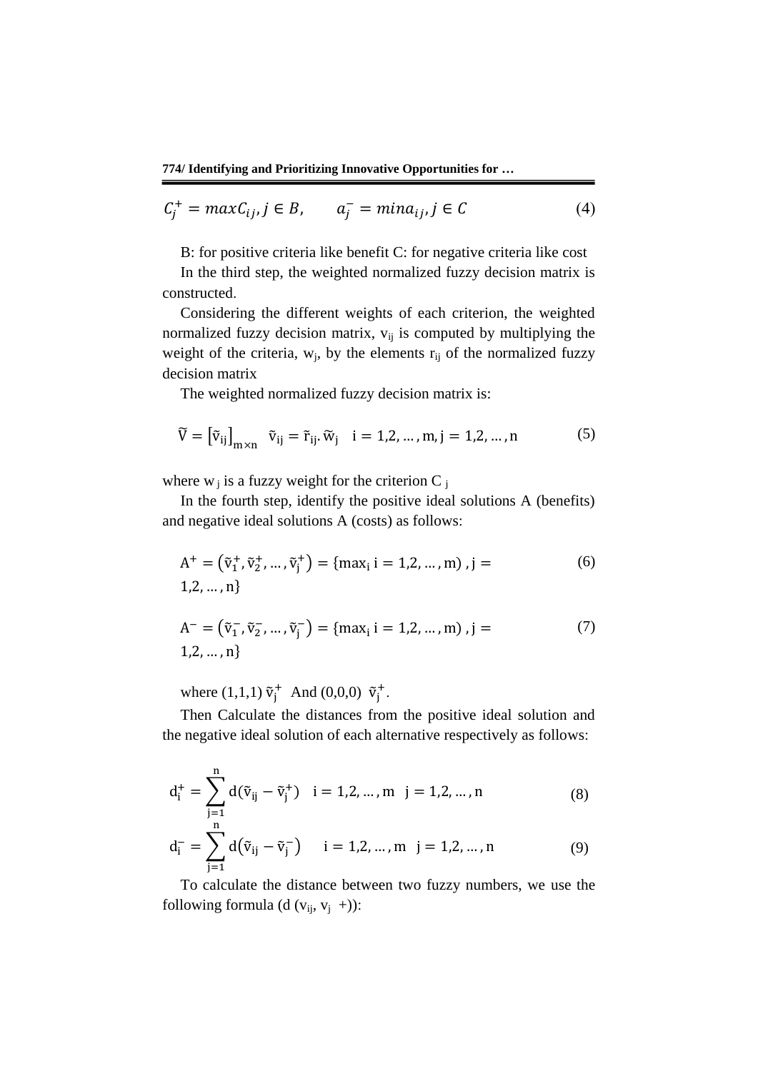$$
C_j^+ = \max C_{ij}, j \in B, \qquad a_j^- = \min a_{ij}, j \in C \tag{4}
$$

B: for positive criteria like benefit C: for negative criteria like cost

In the third step, the weighted normalized fuzzy decision matrix is constructed.

Considering the different weights of each criterion, the weighted normalized fuzzy decision matrix,  $v_{ij}$  is computed by multiplying the weight of the criteria,  $w_i$ , by the elements  $r_{ij}$  of the normalized fuzzy decision matrix

The weighted normalized fuzzy decision matrix is:

$$
\widetilde{V} = \left[\widetilde{v}_{ij}\right]_{m \times n} \quad \widetilde{v}_{ij} = \widetilde{r}_{ij}.\widetilde{w}_j \quad i = 1, 2, \dots, m, j = 1, 2, \dots, n \tag{5}
$$

where  $w_i$  is a fuzzy weight for the criterion C  $_i$ 

In the fourth step, identify the positive ideal solutions A (benefits) and negative ideal solutions A (costs) as follows:

$$
A^{+} = (\tilde{v}_{1}^{+}, \tilde{v}_{2}^{+}, ..., \tilde{v}_{j}^{+}) = \{ \max_{i} i = 1, 2, ..., m \}, j = 1, 2, ..., n \}
$$
 (6)

$$
A^{-} = (\tilde{v}_1^{-}, \tilde{v}_2^{-}, ..., \tilde{v}_j^{-}) = \{ \max_i i = 1, 2, ..., m \}, j =
$$
  
1,2, ..., n} (7)

where (1,1,1)  $\tilde{v}_j^+$  And (0,0,0)  $\tilde{v}_j^+$ .

Then Calculate the distances from the positive ideal solution and the negative ideal solution of each alternative respectively as follows:

$$
d_i^+ = \sum_{\substack{j=1 \ n}}^{n} d(\tilde{v}_{ij} - \tilde{v}_j^+) \quad i = 1, 2, ..., m \quad j = 1, 2, ..., n \tag{8}
$$

$$
d_i^- = \sum_{j=1}^n d(\tilde{v}_{ij} - \tilde{v}_j^-) \quad i = 1, 2, ..., m \quad j = 1, 2, ..., n \tag{9}
$$

To calculate the distance between two fuzzy numbers, we use the following formula (d ( $v_{ij}$ ,  $v_j$  +)):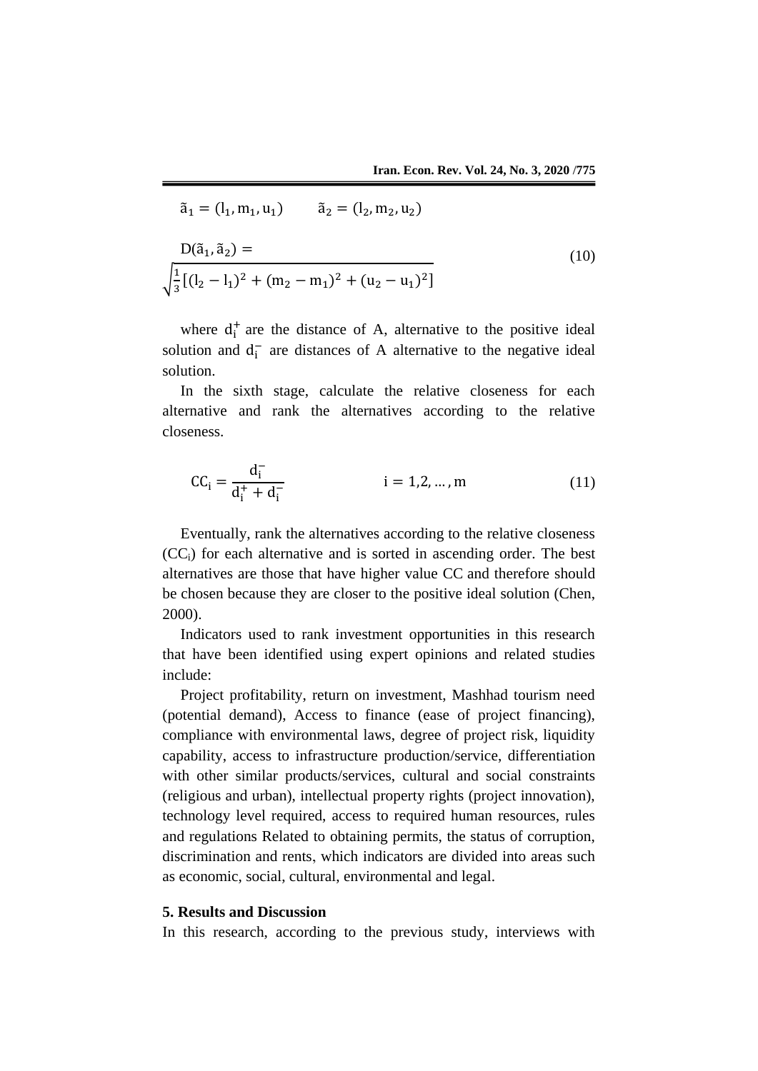$$
\tilde{a}_1 = (l_1, m_1, u_1) \qquad \tilde{a}_2 = (l_2, m_2, u_2)
$$
  

$$
\frac{D(\tilde{a}_1, \tilde{a}_2) = \sqrt{\frac{1}{3} [(l_2 - l_1)^2 + (m_2 - m_1)^2 + (u_2 - u_1)^2]}
$$
 (10)

where  $d_i^+$  are the distance of A, alternative to the positive ideal solution and  $d_i^-$  are distances of A alternative to the negative ideal solution.

In the sixth stage, calculate the relative closeness for each alternative and rank the alternatives according to the relative closeness.

$$
CC_{i} = \frac{d_{i}^{-}}{d_{i}^{+} + d_{i}^{-}} \qquad i = 1, 2, ..., m \qquad (11)
$$

Eventually, rank the alternatives according to the relative closeness (CCi) for each alternative and is sorted in ascending order. The best alternatives are those that have higher value CC and therefore should be chosen because they are closer to the positive ideal solution (Chen, 2000).

Indicators used to rank investment opportunities in this research that have been identified using expert opinions and related studies include:

Project profitability, return on investment, Mashhad tourism need (potential demand), Access to finance (ease of project financing), compliance with environmental laws, degree of project risk, liquidity capability, access to infrastructure production/service, differentiation with other similar products/services, cultural and social constraints (religious and urban), intellectual property rights (project innovation), technology level required, access to required human resources, rules and regulations Related to obtaining permits, the status of corruption, discrimination and rents, which indicators are divided into areas such as economic, social, cultural, environmental and legal.

#### **5. Results and Discussion**

In this research, according to the previous study, interviews with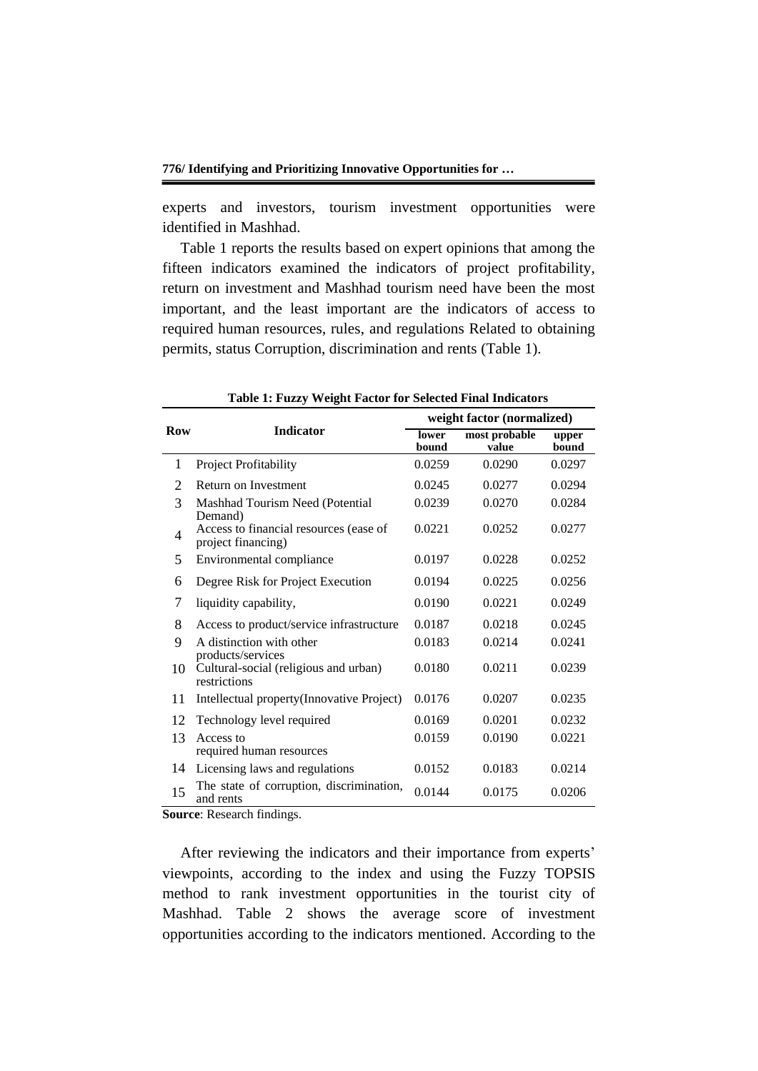experts and investors, tourism investment opportunities were identified in Mashhad.

Table 1 reports the results based on expert opinions that among the fifteen indicators examined the indicators of project profitability, return on investment and Mashhad tourism need have been the most important, and the least important are the indicators of access to required human resources, rules, and regulations Related to obtaining permits, status Corruption, discrimination and rents (Table 1).

|     |                                                              |                | weight factor (normalized) |                |
|-----|--------------------------------------------------------------|----------------|----------------------------|----------------|
| Row | <b>Indicator</b>                                             | lower<br>bound | most probable<br>value     | upper<br>bound |
| 1   | Project Profitability                                        | 0.0259         | 0.0290                     | 0.0297         |
| 2   | Return on Investment                                         | 0.0245         | 0.0277                     | 0.0294         |
| 3   | Mashhad Tourism Need (Potential<br>Demand)                   | 0.0239         | 0.0270                     | 0.0284         |
| 4   | Access to financial resources (ease of<br>project financing) | 0.0221         | 0.0252                     | 0.0277         |
| 5   | Environmental compliance                                     | 0.0197         | 0.0228                     | 0.0252         |
| 6   | Degree Risk for Project Execution                            | 0.0194         | 0.0225                     | 0.0256         |
| 7   | liquidity capability,                                        | 0.0190         | 0.0221                     | 0.0249         |
| 8   | Access to product/service infrastructure                     | 0.0187         | 0.0218                     | 0.0245         |
| 9   | A distinction with other<br>products/services                | 0.0183         | 0.0214                     | 0.0241         |
| 10  | Cultural-social (religious and urban)<br>restrictions        | 0.0180         | 0.0211                     | 0.0239         |
| 11  | Intellectual property (Innovative Project)                   | 0.0176         | 0.0207                     | 0.0235         |
| 12  | Technology level required                                    | 0.0169         | 0.0201                     | 0.0232         |
| 13  | Access to<br>required human resources                        | 0.0159         | 0.0190                     | 0.0221         |
| 14  | Licensing laws and regulations                               | 0.0152         | 0.0183                     | 0.0214         |
| 15  | The state of corruption, discrimination,<br>and rents        | 0.0144         | 0.0175                     | 0.0206         |

**Table 1: Fuzzy Weight Factor for Selected Final Indicators**

**Source**: Research findings.

After reviewing the indicators and their importance from experts' viewpoints, according to the index and using the Fuzzy TOPSIS method to rank investment opportunities in the tourist city of Mashhad. Table 2 shows the average score of investment opportunities according to the indicators mentioned. According to the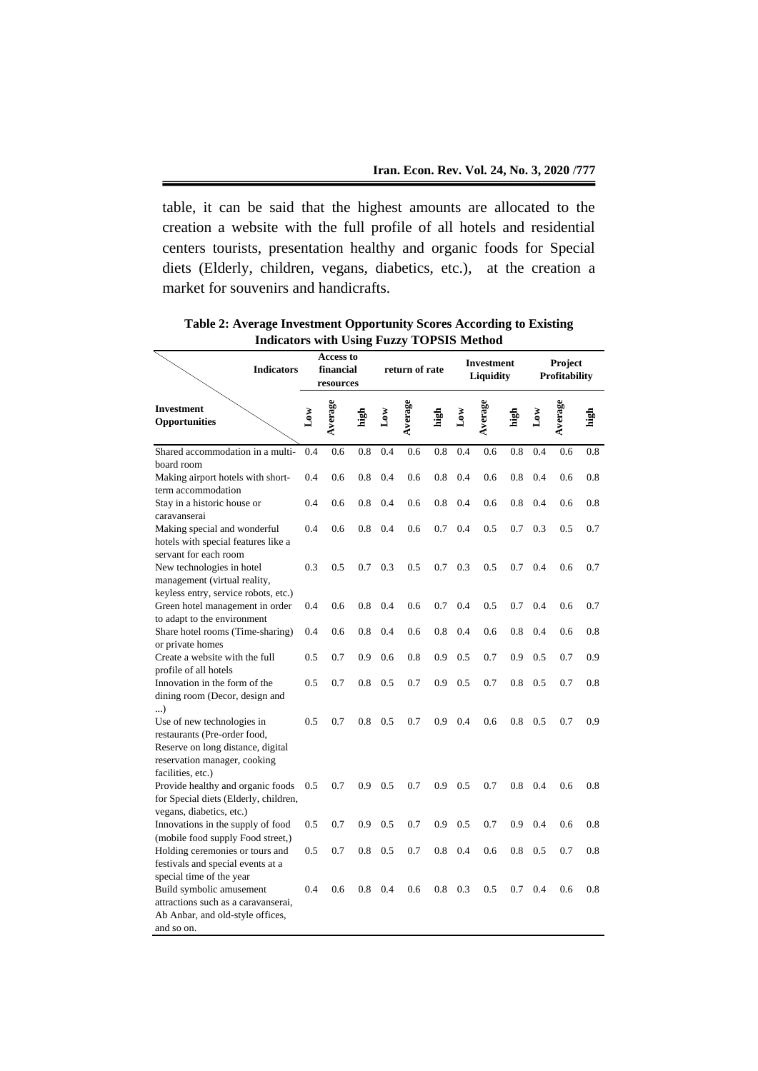table, it can be said that the highest amounts are allocated to the creation a website with the full profile of all hotels and residential centers tourists, presentation healthy and organic foods for Special diets (Elderly, children, vegans, diabetics, etc.), at the creation a market for souvenirs and handicrafts.

| muicators with Using Puzzy TOI BIB Michiga                           |                                     |         |           |              |                |              |        |                                       |              |     |                          |          |
|----------------------------------------------------------------------|-------------------------------------|---------|-----------|--------------|----------------|--------------|--------|---------------------------------------|--------------|-----|--------------------------|----------|
| <b>Indicators</b>                                                    | Access to<br>financial<br>resources |         |           |              | return of rate |              |        | <b>Investment</b><br><b>Liquidity</b> |              |     | Project<br>Profitability |          |
| <b>Investment</b><br>Opportunities                                   | δW                                  | Average | igh<br>Li | $_{\rm Low}$ | Average        | <u>ក្នុង</u> | $\log$ | Average                               | <u>ក្នុង</u> | δW  | Average                  | igh<br>T |
| Shared accommodation in a multi-                                     | 0.4                                 | 0.6     | 0.8       | 0.4          | 0.6            | 0.8          | 0.4    | 0.6                                   | 0.8          | 0.4 | 0.6                      | 0.8      |
| board room                                                           |                                     |         |           |              |                |              |        |                                       |              |     |                          |          |
| Making airport hotels with short-                                    | 0.4                                 | 0.6     | 0.8       | 0.4          | 0.6            | 0.8          | 0.4    | 0.6                                   | 0.8          | 0.4 | 0.6                      | 0.8      |
| term accommodation                                                   |                                     |         |           |              |                |              |        |                                       |              |     |                          |          |
| Stay in a historic house or                                          | 0.4                                 | 0.6     | 0.8       | 0.4          | 0.6            | 0.8          | 0.4    | 0.6                                   | 0.8          | 0.4 | 0.6                      | 0.8      |
| caravanserai                                                         |                                     |         |           |              |                |              |        |                                       |              |     |                          |          |
| Making special and wonderful                                         | 0.4                                 | 0.6     | 0.8       | 0.4          | 0.6            | 0.7          | 0.4    | 0.5                                   | 0.7          | 0.3 | 0.5                      | 0.7      |
| hotels with special features like a                                  |                                     |         |           |              |                |              |        |                                       |              |     |                          |          |
| servant for each room                                                |                                     |         |           |              |                |              |        |                                       |              |     |                          |          |
| New technologies in hotel                                            | 0.3                                 | 0.5     | 0.7       | 0.3          | 0.5            | 0.7          | 0.3    | 0.5                                   | 0.7          | 0.4 | 0.6                      | 0.7      |
| management (virtual reality,<br>keyless entry, service robots, etc.) |                                     |         |           |              |                |              |        |                                       |              |     |                          |          |
| Green hotel management in order                                      | 0.4                                 | 0.6     | 0.8       | 0.4          | 0.6            | 0.7          | 0.4    | 0.5                                   | 0.7          | 0.4 | 0.6                      | 0.7      |
| to adapt to the environment                                          |                                     |         |           |              |                |              |        |                                       |              |     |                          |          |
| Share hotel rooms (Time-sharing)                                     | 0.4                                 | 0.6     | 0.8       | 0.4          | 0.6            | 0.8          | 0.4    | 0.6                                   | 0.8          | 0.4 | 0.6                      | 0.8      |
| or private homes                                                     |                                     |         |           |              |                |              |        |                                       |              |     |                          |          |
| Create a website with the full                                       | 0.5                                 | 0.7     | 0.9       | 0.6          | 0.8            | 0.9          | 0.5    | 0.7                                   | 0.9          | 0.5 | 0.7                      | 0.9      |
| profile of all hotels                                                |                                     |         |           |              |                |              |        |                                       |              |     |                          |          |
| Innovation in the form of the                                        | 0.5                                 | 0.7     | 0.8       | 0.5          | 0.7            | 0.9          | 0.5    | 0.7                                   | 0.8          | 0.5 | 0.7                      | 0.8      |
| dining room (Decor, design and<br>)                                  |                                     |         |           |              |                |              |        |                                       |              |     |                          |          |
| Use of new technologies in                                           | 0.5                                 | 0.7     | 0.8       | 0.5          | 0.7            | 0.9          | 0.4    | 0.6                                   | 0.8          | 0.5 | 0.7                      | 0.9      |
| restaurants (Pre-order food,                                         |                                     |         |           |              |                |              |        |                                       |              |     |                          |          |
| Reserve on long distance, digital                                    |                                     |         |           |              |                |              |        |                                       |              |     |                          |          |
| reservation manager, cooking                                         |                                     |         |           |              |                |              |        |                                       |              |     |                          |          |
| facilities, etc.)                                                    |                                     |         |           |              |                |              |        |                                       |              |     |                          |          |
| Provide healthy and organic foods                                    | 0.5                                 | 0.7     | 0.9       | 0.5          | 0.7            | 0.9          | 0.5    | 0.7                                   | 0.8          | 0.4 | 0.6                      | 0.8      |
| for Special diets (Elderly, children,                                |                                     |         |           |              |                |              |        |                                       |              |     |                          |          |
| vegans, diabetics, etc.)                                             |                                     |         |           |              |                |              |        |                                       |              |     |                          |          |
| Innovations in the supply of food                                    | 0.5                                 | 0.7     | 0.9       | 0.5          | 0.7            | 0.9          | 0.5    | 0.7                                   | 0.9          | 0.4 | 0.6                      | 0.8      |
| (mobile food supply Food street,)                                    |                                     |         |           |              | 0.7            |              |        |                                       |              |     | 0.7                      |          |
| Holding ceremonies or tours and<br>festivals and special events at a | 0.5                                 | 0.7     | 0.8       | 0.5          |                | 0.8          | 0.4    | 0.6                                   | 0.8          | 0.5 |                          | 0.8      |
| special time of the year                                             |                                     |         |           |              |                |              |        |                                       |              |     |                          |          |
| Build symbolic amusement                                             | 0.4                                 | 0.6     | 0.8       | 0.4          | 0.6            | 0.8          | 0.3    | 0.5                                   | 0.7          | 0.4 | 0.6                      | 0.8      |
| attractions such as a caravanserai,                                  |                                     |         |           |              |                |              |        |                                       |              |     |                          |          |
| Ab Anbar, and old-style offices,                                     |                                     |         |           |              |                |              |        |                                       |              |     |                          |          |
| and so on.                                                           |                                     |         |           |              |                |              |        |                                       |              |     |                          |          |

**Table 2: Average Investment Opportunity Scores According to Existing Indicators with Using Fuzzy TOPSIS Method**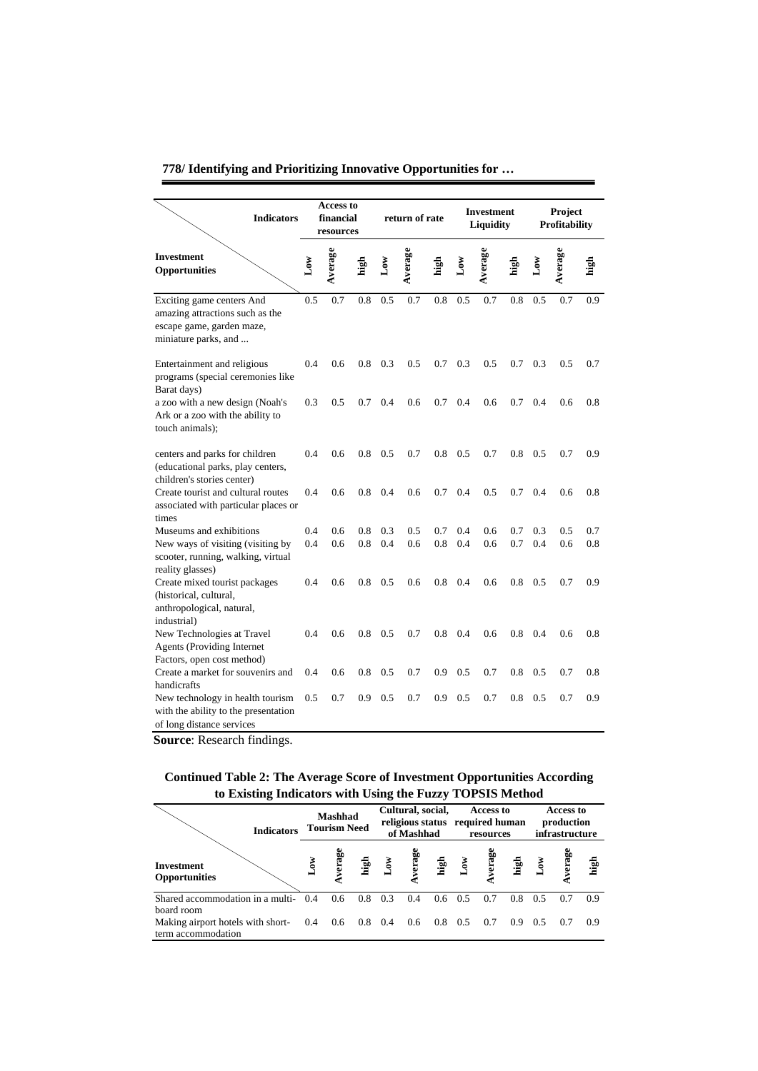|                                                                                                                        |            | <b>Access to</b>       |            |                |                |            |                 |                                       |            |              |                          |            |
|------------------------------------------------------------------------------------------------------------------------|------------|------------------------|------------|----------------|----------------|------------|-----------------|---------------------------------------|------------|--------------|--------------------------|------------|
| <b>Indicators</b>                                                                                                      |            | financial<br>resources |            |                | return of rate |            |                 | <b>Investment</b><br><b>Liquidity</b> |            |              | Project<br>Profitability |            |
| <b>Investment</b><br>Opportunities                                                                                     | δW         | Average                | nigh<br>E  | $\mathbf{Low}$ | Average        | nia<br>Lid | $\mathbf{L}$ ow | Average                               | igh        | $_{\rm Low}$ | Average                  | igi<br>T   |
| Exciting game centers And<br>amazing attractions such as the<br>escape game, garden maze,<br>miniature parks, and      | 0.5        | 0.7                    | 0.8        | 0.5            | 0.7            | 0.8        | 0.5             | 0.7                                   | 0.8        | 0.5          | 0.7                      | 0.9        |
| Entertainment and religious<br>programs (special ceremonies like<br>Barat days)                                        | 0.4        | 0.6                    | 0.8        | 0.3            | 0.5            | 0.7        | 0.3             | 0.5                                   | 0.7        | 0.3          | 0.5                      | 0.7        |
| a zoo with a new design (Noah's<br>Ark or a zoo with the ability to<br>touch animals);                                 | 0.3        | 0.5                    | 0.7        | 0.4            | 0.6            | 0.7        | 0.4             | 0.6                                   | 0.7        | 0.4          | 0.6                      | 0.8        |
| centers and parks for children<br>(educational parks, play centers,<br>children's stories center)                      | 0.4        | 0.6                    | 0.8        | 0.5            | 0.7            | 0.8        | 0.5             | 0.7                                   | 0.8        | 0.5          | 0.7                      | 0.9        |
| Create tourist and cultural routes<br>associated with particular places or<br>times                                    | 0.4        | 0.6                    | 0.8        | 0.4            | 0.6            | 0.7        | 0.4             | 0.5                                   | 0.7        | 0.4          | 0.6                      | 0.8        |
| Museums and exhibitions<br>New ways of visiting (visiting by<br>scooter, running, walking, virtual<br>reality glasses) | 0.4<br>0.4 | 0.6<br>0.6             | 0.8<br>0.8 | 0.3<br>0.4     | 0.5<br>0.6     | 0.7<br>0.8 | 0.4<br>0.4      | 0.6<br>0.6                            | 0.7<br>0.7 | 0.3<br>0.4   | 0.5<br>0.6               | 0.7<br>0.8 |
| Create mixed tourist packages<br>(historical, cultural,<br>anthropological, natural,<br>industrial)                    | 0.4        | 0.6                    | 0.8        | 0.5            | 0.6            | 0.8        | 0.4             | 0.6                                   | 0.8        | 0.5          | 0.7                      | 0.9        |
| New Technologies at Travel<br><b>Agents (Providing Internet)</b><br>Factors, open cost method)                         | 0.4        | 0.6                    | 0.8        | 0.5            | 0.7            | 0.8        | 0.4             | 0.6                                   | 0.8        | 0.4          | 0.6                      | 0.8        |
| Create a market for souvenirs and<br>handicrafts                                                                       | 0.4        | 0.6                    | 0.8        | 0.5            | 0.7            | 0.9        | 0.5             | 0.7                                   | 0.8        | 0.5          | 0.7                      | 0.8        |
| New technology in health tourism<br>with the ability to the presentation<br>of long distance services                  | 0.5        | 0.7                    | 0.9        | 0.5            | 0.7            | 0.9        | 0.5             | 0.7                                   | 0.8        | 0.5          | 0.7                      | 0.9        |

**Source**: Research findings.

### **Continued Table 2: The Average Score of Investment Opportunities According to Existing Indicators with Using the Fuzzy TOPSIS Method**

| <b>Indicators</b>                                       | Mashhad<br><b>Tourism Need</b> |                |                |              | Cultural, social,<br>of Mashhad |               | Access to<br>religious status required human<br>resources |                                        |     | Access to<br>production<br>infrastructure |        |      |
|---------------------------------------------------------|--------------------------------|----------------|----------------|--------------|---------------------------------|---------------|-----------------------------------------------------------|----------------------------------------|-----|-------------------------------------------|--------|------|
| <b>Investment</b><br><b>Opportunities</b>               | δW                             | verag          | ្នុង           | $\mathbf{v}$ |                                 |               |                                                           | verage<br>high<br>Low<br>Lenge<br>high |     |                                           | verage | high |
| Shared accommodation in a multi-<br>board room          | 0.4                            | 0.6            | 0.8            | 0.3          | 0.4                             | $0.6^{\circ}$ | 0.5                                                       | 0.7                                    | 0.8 | 0.5                                       | 0.7    | 09   |
| Making airport hotels with short-<br>term accommodation |                                | $0.4\quad 0.6$ | $0.8\quad 0.4$ |              | 0.6                             | 0.8           | 0.5                                                       | 0.7                                    | 0.9 | 0.5                                       | 0.7    | 0.9  |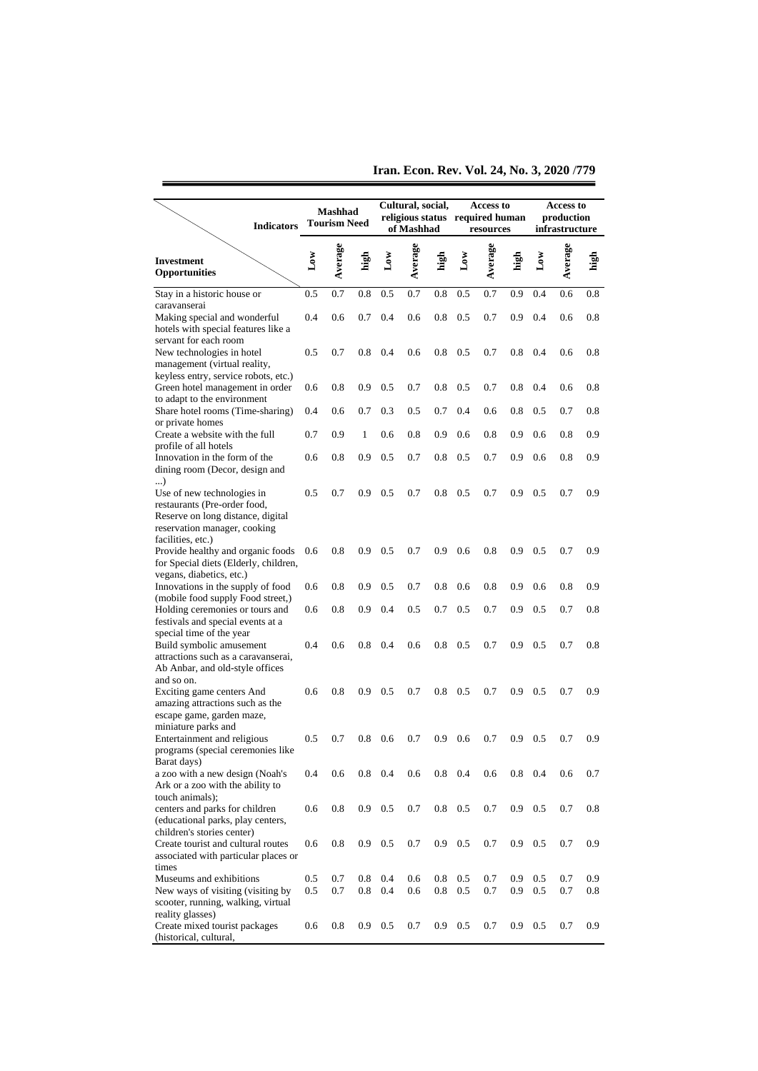**Iran. Econ. Rev. Vol. 24, No. 3, 2020 /779**

| <b>Indicators</b>                                                                                                               | Mashhad<br><b>Tourism Need</b> |            | Cultural, social,<br>religious status required human<br>of Mashhad |                         |            |            | Access to<br>resources |            |            | Access to<br>production<br>infrastructure |            |                |
|---------------------------------------------------------------------------------------------------------------------------------|--------------------------------|------------|--------------------------------------------------------------------|-------------------------|------------|------------|------------------------|------------|------------|-------------------------------------------|------------|----------------|
| <b>Investment</b><br><b>Opportunities</b>                                                                                       | Jow                            | Average    | igh                                                                | $\mathbf{L}\mathbf{ow}$ | Average    | high       | Δw                     | Average    | high       | $\mathbf{L}\mathbf{ow}$                   | Average    | ig<br>Ei       |
| Stay in a historic house or                                                                                                     | 0.5                            | 0.7        | 0.8                                                                | 0.5                     | 0.7        | 0.8        | 0.5                    | 0.7        | 0.9        | 0.4                                       | 0.6        | 0.8            |
| caravanserai<br>Making special and wonderful<br>hotels with special features like a                                             | 0.4                            | 0.6        | 0.7                                                                | 0.4                     | 0.6        | 0.8        | 0.5                    | 0.7        | 0.9        | 0.4                                       | 0.6        | 0.8            |
| servant for each room<br>New technologies in hotel<br>management (virtual reality,<br>keyless entry, service robots, etc.)      | 0.5                            | 0.7        | 0.8                                                                | 0.4                     | 0.6        | 0.8        | 0.5                    | 0.7        | 0.8        | 0.4                                       | 0.6        | 0.8            |
| Green hotel management in order<br>to adapt to the environment                                                                  | 0.6                            | 0.8        | 0.9                                                                | 0.5                     | 0.7        | 0.8        | 0.5                    | 0.7        | 0.8        | 0.4                                       | 0.6        | 0.8            |
| Share hotel rooms (Time-sharing)<br>or private homes                                                                            | 0.4                            | 0.6        | 0.7                                                                | 0.3                     | 0.5        | 0.7        | 0.4                    | 0.6        | 0.8        | 0.5                                       | 0.7        | 0.8            |
| Create a website with the full<br>profile of all hotels                                                                         | 0.7                            | 0.9        | 1                                                                  | 0.6                     | 0.8        | 0.9        | 0.6                    | 0.8        | 0.9        | 0.6                                       | 0.8        | 0.9            |
| Innovation in the form of the<br>dining room (Decor, design and<br>)                                                            | 0.6                            | 0.8        | 0.9                                                                | 0.5                     | 0.7        | 0.8        | 0.5                    | 0.7        | 0.9        | 0.6                                       | 0.8        | 0.9            |
| Use of new technologies in<br>restaurants (Pre-order food,<br>Reserve on long distance, digital<br>reservation manager, cooking | 0.5                            | 0.7        | 0.9                                                                | 0.5                     | 0.7        | 0.8        | 0.5                    | 0.7        | 0.9        | 0.5                                       | 0.7        | 0.9            |
| facilities, etc.)<br>Provide healthy and organic foods<br>for Special diets (Elderly, children,<br>vegans, diabetics, etc.)     | 0.6                            | 0.8        | 0.9                                                                | 0.5                     | 0.7        | 0.9        | 0.6                    | 0.8        | 0.9        | 0.5                                       | 0.7        | 0.9            |
| Innovations in the supply of food<br>(mobile food supply Food street,)                                                          | 0.6                            | 0.8        | 0.9                                                                | 0.5                     | 0.7        | 0.8        | 0.6                    | 0.8        | 0.9        | 0.6                                       | 0.8        | 0.9            |
| Holding ceremonies or tours and<br>festivals and special events at a<br>special time of the year                                | 0.6                            | 0.8        | 0.9                                                                | 0.4                     | 0.5        | 0.7        | 0.5                    | 0.7        | 0.9        | 0.5                                       | 0.7        | 0.8            |
| Build symbolic amusement<br>attractions such as a caravanserai,<br>Ab Anbar, and old-style offices<br>and so on.                | 0.4                            | 0.6        | 0.8                                                                | 0.4                     | 0.6        | 0.8        | 0.5                    | 0.7        | 0.9        | 0.5                                       | 0.7        | 0.8            |
| Exciting game centers And<br>amazing attractions such as the<br>escape game, garden maze,                                       | 0.6                            | 0.8        | 0.9                                                                | 0.5                     | 0.7        | 0.8        | 0.5                    | 0.7        | 0.9        | 0.5                                       | 0.7        | 0.9            |
| miniature parks and<br>Entertainment and religious<br>programs (special ceremonies like<br>Barat days)                          | 0.5                            | 0.7        | 0.8                                                                | 0.6                     | 0.7        | 0.9        | 0.6                    | 0.7        | 0.9        | 0.5                                       | 0.7        | 0.9            |
| a zoo with a new design (Noah's<br>Ark or a zoo with the ability to                                                             | 0.4                            | 0.6        | 0.8                                                                | 0.4                     | 0.6        | 0.8        | 0.4                    | 0.6        | 0.8        | 0.4                                       | 0.6        | 0.7            |
| touch animals);<br>centers and parks for children<br>(educational parks, play centers,<br>children's stories center)            | 0.6                            | 0.8        | 0.9                                                                | 0.5                     | 0.7        | $0.8\,$    | 0.5                    | 0.7        | 0.9        | 0.5                                       | 0.7        | 0.8            |
| Create tourist and cultural routes<br>associated with particular places or<br>times                                             | 0.6                            | 0.8        | 0.9 <sub>o</sub>                                                   | 0.5                     | 0.7        | 0.9        | 0.5                    | 0.7        | 0.9        | 0.5                                       | 0.7        | 0.9            |
| Museums and exhibitions<br>New ways of visiting (visiting by<br>scooter, running, walking, virtual<br>reality glasses)          | 0.5<br>0.5                     | 0.7<br>0.7 | 0.8<br>$0.8\,$                                                     | 0.4<br>0.4              | 0.6<br>0.6 | 0.8<br>0.8 | 0.5<br>$0.5\,$         | 0.7<br>0.7 | 0.9<br>0.9 | 0.5<br>0.5                                | 0.7<br>0.7 | 0.9<br>$0.8\,$ |
| Create mixed tourist packages<br>(historical, cultural,                                                                         | 0.6                            | 0.8        | $0.9$ 0.5                                                          |                         | 0.7        |            | $0.9 \quad 0.5$        | 0.7        | 0.9        | 0.5                                       | 0.7        | 0.9            |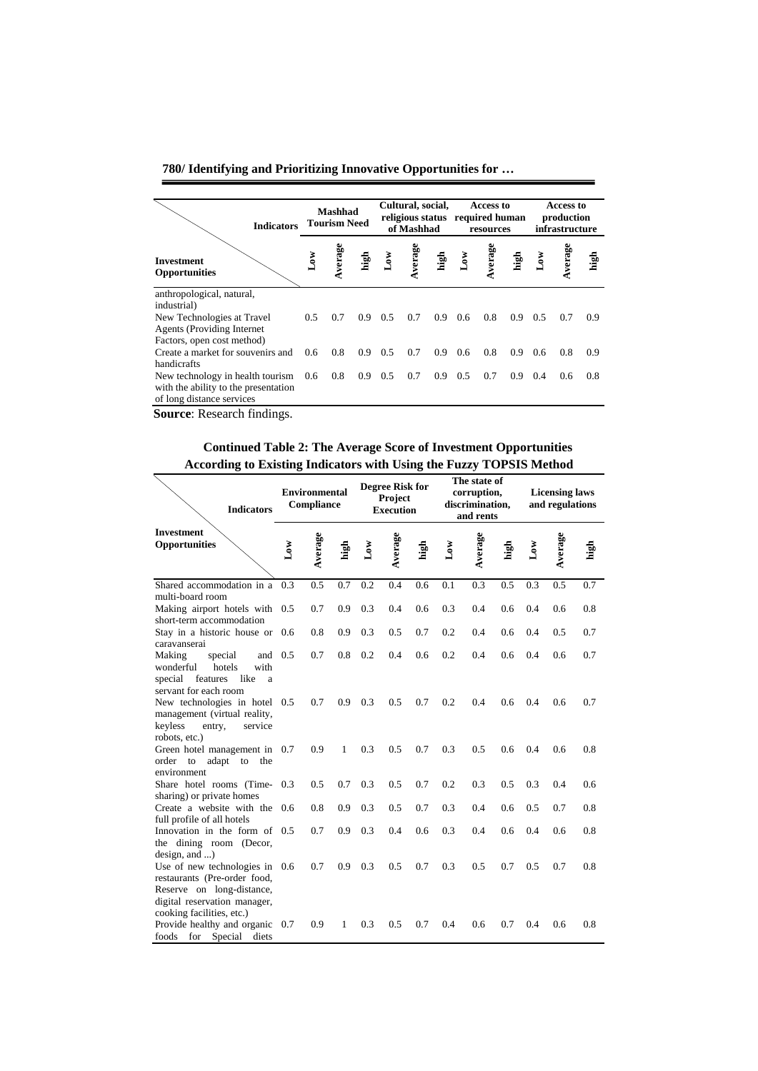| <b>Indicators</b>                                                                                         |     | Mashhad<br><b>Tourism Need</b> |                  | Cultural, social,<br>of Mashhad |        |      | Access to<br>religious status required human<br>resources |        |      | Access to<br>production<br>infrastructure |        |      |
|-----------------------------------------------------------------------------------------------------------|-----|--------------------------------|------------------|---------------------------------|--------|------|-----------------------------------------------------------|--------|------|-------------------------------------------|--------|------|
| <b>Investment</b><br><b>Opportunities</b>                                                                 |     | verage                         | high             | δW                              | verage | high | $\tilde{\mathbf{S}}$                                      | verage | high |                                           | verage | high |
| anthropological, natural,                                                                                 |     |                                |                  |                                 |        |      |                                                           |        |      |                                           |        |      |
| industrial)                                                                                               |     |                                |                  |                                 |        |      |                                                           |        |      |                                           |        |      |
| New Technologies at Travel                                                                                | 0.5 | 0.7                            | 0.9              | 0.5                             | 0.7    | 0.9  | 0.6                                                       | 0.8    | 0.9  | 0.5                                       | 0.7    | 0.9  |
| <b>Agents</b> (Providing Internet)                                                                        |     |                                |                  |                                 |        |      |                                                           |        |      |                                           |        |      |
| Factors, open cost method)                                                                                |     |                                |                  |                                 |        |      |                                                           |        |      |                                           |        |      |
| Create a market for souvenirs and                                                                         | 0.6 | 0.8                            | 0.9 <sup>°</sup> | 0.5                             | 0.7    | 0.9  | 0.6                                                       | 0.8    | 0.9  | 0.6                                       | 0.8    | 0.9  |
| handicrafts                                                                                               |     |                                |                  |                                 |        |      |                                                           |        |      |                                           |        |      |
| New technology in health tourism 0.6<br>with the ability to the presentation<br>of long distance services |     | 0.8                            | $0.9\quad 0.5$   |                                 | 0.7    | 0.9  | 0.5                                                       | 0.7    | 0.9  | 0.4                                       | 0.6    | 0.8  |

**Source**: Research findings.

**Continued Table 2: The Average Score of Investment Opportunities According to Existing Indicators with Using the Fuzzy TOPSIS Method**

| <b>Indicators</b>                                                                                                       |              | <b>Environmental</b><br>Compliance |      |              | <b>Degree Risk for</b><br>Project<br><b>Execution</b> |      |                         | The state of<br>corruption,<br>discrimination,<br>and rents |      |              | <b>Licensing laws</b><br>and regulations |      |
|-------------------------------------------------------------------------------------------------------------------------|--------------|------------------------------------|------|--------------|-------------------------------------------------------|------|-------------------------|-------------------------------------------------------------|------|--------------|------------------------------------------|------|
| <b>Investment</b><br>Opportunities                                                                                      | $_{\rm Low}$ | Average                            | high | $_{\rm Low}$ | verage<br>é.                                          | high | $\mathbf{L}\mathbf{ow}$ | verage<br>⋞                                                 | high | $_{\rm Low}$ | Average                                  | high |
| Shared accommodation in a<br>multi-board room                                                                           | 0.3          | 0.5                                | 0.7  | 0.2          | 0.4                                                   | 0.6  | 0.1                     | 0.3                                                         | 0.5  | 0.3          | 0.5                                      | 0.7  |
| Making airport hotels with<br>short-term accommodation                                                                  | 0.5          | 0.7                                | 0.9  | 0.3          | 0.4                                                   | 0.6  | 0.3                     | 0.4                                                         | 0.6  | 0.4          | 0.6                                      | 0.8  |
| Stay in a historic house or 0.6<br>caravanserai                                                                         |              | 0.8                                | 0.9  | 0.3          | 0.5                                                   | 0.7  | 0.2                     | 0.4                                                         | 0.6  | 0.4          | 0.5                                      | 0.7  |
| Making<br>special<br>and<br>hotels<br>wonderful<br>with<br>like<br>features<br>special<br>a<br>servant for each room    | 0.5          | 0.7                                | 0.8  | 0.2          | 0.4                                                   | 0.6  | 0.2                     | 0.4                                                         | 0.6  | 0.4          | 0.6                                      | 0.7  |
| New technologies in hotel 0.5<br>management (virtual reality,<br>keyless<br>entry,<br>service<br>robots, etc.)          |              | 0.7                                | 0.9  | 0.3          | 0.5                                                   | 0.7  | 0.2                     | 0.4                                                         | 0.6  | 0.4          | 0.6                                      | 0.7  |
| Green hotel management in 0.7<br>adapt to the<br>order<br>to<br>environment                                             |              | 0.9                                | 1    | 0.3          | 0.5                                                   | 0.7  | 0.3                     | 0.5                                                         | 0.6  | 0.4          | 0.6                                      | 0.8  |
| Share hotel rooms (Time-<br>sharing) or private homes                                                                   | 0.3          | 0.5                                | 0.7  | 0.3          | 0.5                                                   | 0.7  | 0.2                     | 0.3                                                         | 0.5  | 0.3          | 0.4                                      | 0.6  |
| Create a website with the<br>full profile of all hotels                                                                 | 0.6          | 0.8                                | 0.9  | 0.3          | 0.5                                                   | 0.7  | 0.3                     | 0.4                                                         | 0.6  | 0.5          | 0.7                                      | 0.8  |
| Innovation in the form of 0.5<br>the dining room (Decor,<br>$design, and \ldots)$                                       |              | 0.7                                | 0.9  | 0.3          | 0.4                                                   | 0.6  | 0.3                     | 0.4                                                         | 0.6  | 0.4          | 0.6                                      | 0.8  |
| Use of new technologies in<br>restaurants (Pre-order food,<br>Reserve on long-distance,<br>digital reservation manager, | 0.6          | 0.7                                | 0.9  | 0.3          | 0.5                                                   | 0.7  | 0.3                     | 0.5                                                         | 0.7  | 0.5          | 0.7                                      | 0.8  |
| cooking facilities, etc.)<br>Provide healthy and organic<br>foods for Special<br>diets                                  | 0.7          | 0.9                                | 1    | 0.3          | 0.5                                                   | 0.7  | 0.4                     | 0.6                                                         | 0.7  | 0.4          | 0.6                                      | 0.8  |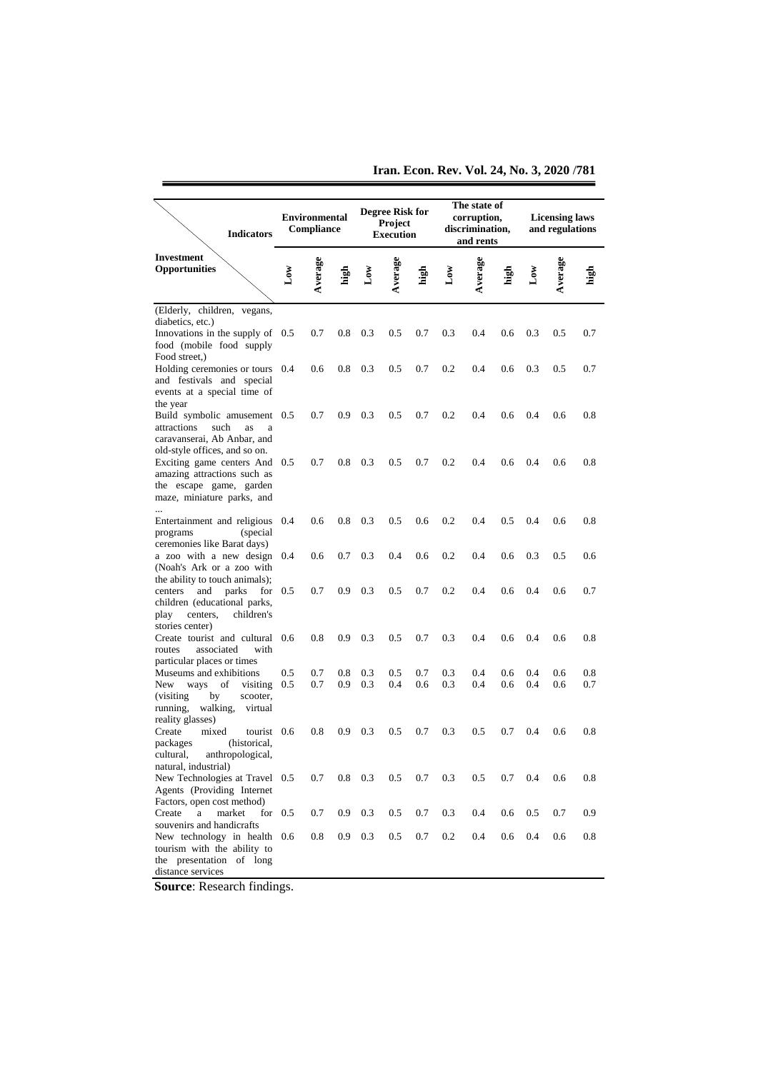**Iran. Econ. Rev. Vol. 24, No. 3, 2020 /781**

| <b>Indicators</b>                                                                                                                               |              | <b>Environmental</b><br>Compliance |                         |            | <b>Degree Risk for</b><br>Project<br><b>Execution</b> |            |                | The state of<br>corruption,<br>discrimination,<br>and rents |            |                | <b>Licensing laws</b><br>and regulations |            |
|-------------------------------------------------------------------------------------------------------------------------------------------------|--------------|------------------------------------|-------------------------|------------|-------------------------------------------------------|------------|----------------|-------------------------------------------------------------|------------|----------------|------------------------------------------|------------|
| <b>Investment</b><br><b>Opportunities</b>                                                                                                       | $_{\rm Low}$ | Average                            | high                    | گ<br>م     | Average                                               | nigh       | $\mathbf{Low}$ | Average                                                     | ្នាំ<br>មើ | $\mathbf{Low}$ | Average                                  | nigi<br>Li |
| (Elderly, children, vegans,<br>diabetics, etc.)<br>Innovations in the supply of $0.5$<br>food (mobile food supply<br>Food street.)              |              | 0.7                                | 0.8                     | 0.3        | 0.5                                                   | 0.7        | 0.3            | 0.4                                                         | 0.6        | 0.3            | 0.5                                      | 0.7        |
| Holding ceremonies or tours 0.4<br>and festivals and special<br>events at a special time of<br>the year                                         |              | 0.6                                | 0.8                     | 0.3        | 0.5                                                   | 0.7        | 0.2            | 0.4                                                         | 0.6        | 0.3            | 0.5                                      | 0.7        |
| Build symbolic amusement 0.5<br>attractions<br>such<br>as<br>a<br>caravanserai, Ab Anbar, and<br>old-style offices, and so on.                  |              | 0.7                                | 0.9                     | 0.3        | 0.5                                                   | 0.7        | 0.2            | 0.4                                                         | 0.6        | 0.4            | 0.6                                      | 0.8        |
| Exciting game centers And 0.5<br>amazing attractions such as<br>the escape game, garden<br>maze, miniature parks, and                           |              | 0.7                                | 0.8                     | 0.3        | 0.5                                                   | 0.7        | 0.2            | 0.4                                                         | 0.6        | 0.4            | 0.6                                      | 0.8        |
| $\ddotsc$<br>Entertainment and religious 0.4<br>(special)<br>programs<br>ceremonies like Barat days)                                            |              | 0.6                                | 0.8                     | 0.3        | 0.5                                                   | 0.6        | 0.2            | 0.4                                                         | 0.5        | 0.4            | 0.6                                      | 0.8        |
| a zoo with a new design 0.4<br>(Noah's Ark or a zoo with<br>the ability to touch animals);                                                      |              | 0.6                                | 0.7                     | 0.3        | 0.4                                                   | 0.6        | 0.2            | 0.4                                                         | 0.6        | 0.3            | 0.5                                      | 0.6        |
| parks<br>centers<br>and<br>children (educational parks,<br>children's<br>centers,<br>play                                                       | for $0.5$    | 0.7                                | 0.9                     | 0.3        | 0.5                                                   | 0.7        | 0.2            | 0.4                                                         | 0.6        | 0.4            | 0.6                                      | 0.7        |
| stories center)<br>Create tourist and cultural<br>with<br>routes<br>associated<br>particular places or times                                    | 0.6          | 0.8                                | 0.9                     | 0.3        | 0.5                                                   | 0.7        | 0.3            | 0.4                                                         | 0.6        | 0.4            | 0.6                                      | 0.8        |
| Museums and exhibitions<br>of<br>New<br>ways<br>visiting<br>(visiting)<br>by<br>scooter,<br>walking,<br>running,<br>virtual<br>reality glasses) | 0.5<br>0.5   | 0.7<br>0.7                         | 0.8<br>0.9              | 0.3<br>0.3 | 0.5<br>0.4                                            | 0.7<br>0.6 | 0.3<br>0.3     | 0.4<br>0.4                                                  | 0.6<br>0.6 | 0.4<br>0.4     | 0.6<br>0.6                               | 0.8<br>0.7 |
| mixed<br>Create<br>tourist 0.6<br>(historical,<br>packages<br>cultural,<br>anthropological,<br>natural, industrial)                             |              | 0.8                                | 0.9                     | 0.3        | 0.5                                                   | 0.7        | 0.3            | 0.5                                                         | 0.7        | 0.4            | 0.6                                      | 0.8        |
| New Technologies at Travel 0.5<br>Agents (Providing Internet)<br>Factors, open cost method)                                                     |              | 0.7                                | $0.8\,$                 | 0.3        | 0.5                                                   | 0.7        | 0.3            | 0.5                                                         | 0.7        | 0.4            | 0.6                                      | 0.8        |
| market<br>Create<br>a<br>souvenirs and handicrafts<br>New technology in health 0.6                                                              | for $0.5$    | 0.7<br>0.8                         | 0.9<br>0.9 <sub>o</sub> | 0.3<br>0.3 | 0.5<br>$0.5\,$                                        | 0.7<br>0.7 | 0.3<br>0.2     | 0.4<br>0.4                                                  | 0.6<br>0.6 | 0.5<br>0.4     | 0.7<br>0.6                               | 0.9<br>0.8 |
| tourism with the ability to<br>the presentation of long<br>distance services                                                                    |              |                                    |                         |            |                                                       |            |                |                                                             |            |                |                                          |            |

**Source**: Research findings.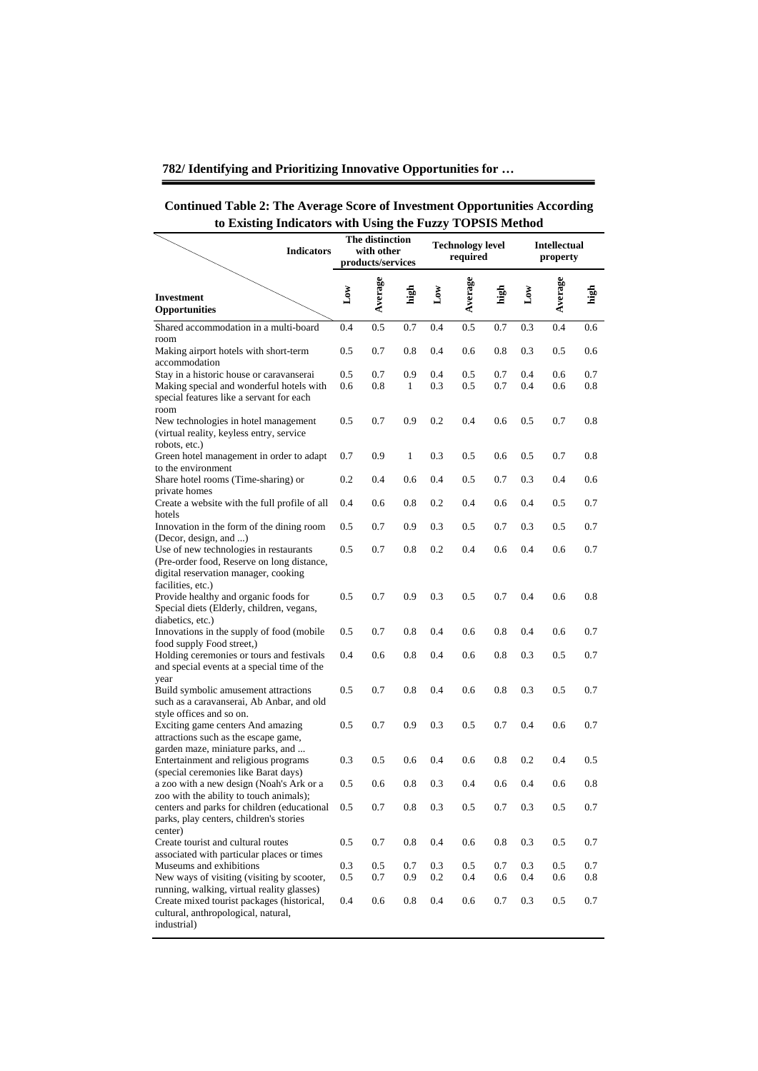| <b>Continued Table 2: The Average Score of Investment Opportunities According</b> |
|-----------------------------------------------------------------------------------|
| to Existing Indicators with Using the Fuzzy TOPSIS Method                         |
|                                                                                   |

| to <b>L'Abting</b><br>murators with come the range rorous without<br><b>Indicators</b>                                                                                                       |            | The distinction<br>with other<br>products/services |            |            | <b>Technology level</b><br>required |              |              | <b>Intellectual</b><br>property |            |
|----------------------------------------------------------------------------------------------------------------------------------------------------------------------------------------------|------------|----------------------------------------------------|------------|------------|-------------------------------------|--------------|--------------|---------------------------------|------------|
| <b>Investment</b><br>Opportunities                                                                                                                                                           | Δw         | Average                                            | igh<br>T   | ð۹         | Average                             | <u>ក្នុង</u> | $_{\rm Low}$ | Average                         |            |
| Shared accommodation in a multi-board                                                                                                                                                        | 0.4        | 0.5                                                | 0.7        | 0.4        | 0.5                                 | 0.7          | 0.3          | 0.4                             | 0.6        |
| room<br>Making airport hotels with short-term<br>accommodation                                                                                                                               | 0.5        | 0.7                                                | 0.8        | 0.4        | 0.6                                 | 0.8          | 0.3          | 0.5                             | 0.6        |
| Stay in a historic house or caravanserai<br>Making special and wonderful hotels with<br>special features like a servant for each<br>room                                                     | 0.5<br>0.6 | 0.7<br>0.8                                         | 0.9<br>1   | 0.4<br>0.3 | 0.5<br>0.5                          | 0.7<br>0.7   | 0.4<br>0.4   | 0.6<br>0.6                      | 0.7<br>0.8 |
| New technologies in hotel management<br>(virtual reality, keyless entry, service<br>robots, etc.)                                                                                            | 0.5        | 0.7                                                | 0.9        | 0.2        | 0.4                                 | 0.6          | 0.5          | 0.7                             | 0.8        |
| Green hotel management in order to adapt<br>to the environment                                                                                                                               | 0.7        | 0.9                                                | 1          | 0.3        | 0.5                                 | 0.6          | 0.5          | 0.7                             | $0.8\,$    |
| Share hotel rooms (Time-sharing) or<br>private homes                                                                                                                                         | 0.2        | 0.4                                                | 0.6        | 0.4        | 0.5                                 | 0.7          | 0.3          | 0.4                             | 0.6        |
| Create a website with the full profile of all<br>hotels                                                                                                                                      | 0.4        | 0.6                                                | 0.8        | 0.2        | 0.4                                 | 0.6          | 0.4          | 0.5                             | 0.7        |
| Innovation in the form of the dining room<br>(Decor, design, and )                                                                                                                           | 0.5        | 0.7                                                | 0.9        | 0.3        | 0.5                                 | 0.7          | 0.3          | 0.5                             | 0.7        |
| Use of new technologies in restaurants<br>(Pre-order food, Reserve on long distance,<br>digital reservation manager, cooking<br>facilities, etc.)                                            | 0.5        | 0.7                                                | 0.8        | 0.2        | 0.4                                 | 0.6          | 0.4          | 0.6                             | 0.7        |
| Provide healthy and organic foods for<br>Special diets (Elderly, children, vegans,<br>diabetics, etc.)                                                                                       | 0.5        | 0.7                                                | 0.9        | 0.3        | 0.5                                 | 0.7          | 0.4          | 0.6                             | 0.8        |
| Innovations in the supply of food (mobile<br>food supply Food street,)                                                                                                                       | 0.5        | 0.7                                                | 0.8        | 0.4        | 0.6                                 | $_{0.8}$     | 0.4          | 0.6                             | 0.7        |
| Holding ceremonies or tours and festivals<br>and special events at a special time of the<br>year                                                                                             | 0.4        | 0.6                                                | 0.8        | 0.4        | 0.6                                 | 0.8          | 0.3          | 0.5                             | 0.7        |
| Build symbolic amusement attractions<br>such as a caravanserai, Ab Anbar, and old<br>style offices and so on.                                                                                | 0.5        | 0.7                                                | 0.8        | 0.4        | 0.6                                 | 0.8          | 0.3          | 0.5                             | 0.7        |
| Exciting game centers And amazing<br>attractions such as the escape game,<br>garden maze, miniature parks, and                                                                               | 0.5        | 0.7                                                | 0.9        | 0.3        | 0.5                                 | 0.7          | 0.4          | 0.6                             | 0.7        |
| Entertainment and religious programs<br>(special ceremonies like Barat days)                                                                                                                 | 0.3        | 0.5                                                | 0.6        | 0.4        | 0.6                                 | 0.8          | 0.2          | 0.4                             | 0.5        |
| a zoo with a new design (Noah's Ark or a<br>zoo with the ability to touch animals);                                                                                                          | 0.5        | 0.6                                                | 0.8        | 0.3        | 0.4                                 | 0.6          | 0.4          | 0.6                             | $0.8\,$    |
| centers and parks for children (educational<br>parks, play centers, children's stories<br>center)                                                                                            | 0.5        | 0.7                                                | 0.8        | 0.3        | 0.5                                 | 0.7          | 0.3          | 0.5                             | 0.7        |
| Create tourist and cultural routes<br>associated with particular places or times                                                                                                             | $0.5\,$    | 0.7                                                | 0.8        | 0.4        | 0.6                                 | 0.8          | 0.3          | 0.5                             | 0.7        |
| Museums and exhibitions                                                                                                                                                                      | 0.3        | $0.5\,$                                            | 0.7        | 0.3        | 0.5                                 | 0.7          | 0.3          | $0.5\,$                         | 0.7        |
| New ways of visiting (visiting by scooter,<br>running, walking, virtual reality glasses)<br>Create mixed tourist packages (historical,<br>cultural, anthropological, natural,<br>industrial) | 0.5<br>0.4 | 0.7<br>0.6                                         | 0.9<br>0.8 | 0.2<br>0.4 | 0.4<br>0.6                          | 0.6<br>0.7   | 0.4<br>0.3   | 0.6<br>0.5                      | 0.8<br>0.7 |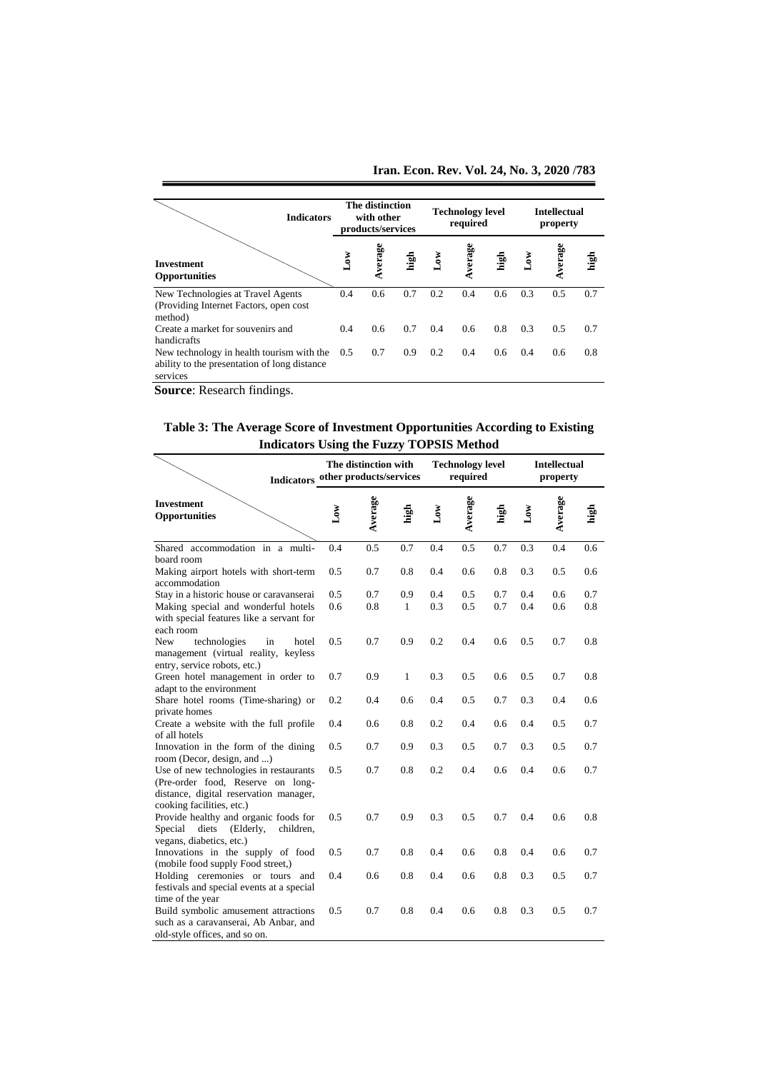**Iran. Econ. Rev. Vol. 24, No. 3, 2020 /783**

| <b>Indicators</b>                                                                                     |                         | <b>The distinction</b><br>with other<br>products/services |      |              | <b>Technology level</b><br>required |               | <b>Intellectual</b><br>property |        |      |  |
|-------------------------------------------------------------------------------------------------------|-------------------------|-----------------------------------------------------------|------|--------------|-------------------------------------|---------------|---------------------------------|--------|------|--|
| <b>Investment</b><br><b>Opportunities</b>                                                             | $\mathbf{L}\mathbf{ow}$ | verage                                                    | high | $\mathbf{S}$ | verage                              | high          | گھا                             | verage | high |  |
| New Technologies at Travel Agents<br>(Providing Internet Factors, open cost)<br>method)               | 0.4                     | 0.6                                                       | 0.7  | 0.2          | 0.4                                 | 0.6           | 0.3                             | 0.5    | 0.7  |  |
| Create a market for souvenirs and<br>handicrafts                                                      | 0.4                     | $0.6^{\circ}$                                             | 0.7  | 0.4          | 0.6                                 | 0.8           | 0.3                             | 0.5    | 0.7  |  |
| New technology in health tourism with the<br>ability to the presentation of long distance<br>services | 0.5                     | 0.7                                                       | 0.9  | 0.2          | 0.4                                 | $0.6^{\circ}$ | 0.4                             | 0.6    | 0.8  |  |

**Source**: Research findings.

**Table 3: The Average Score of Investment Opportunities According to Existing Indicators Using the Fuzzy TOPSIS Method**

| muicators Using the Fuzzy TOT 313 Method                                                                                                           |                   |                                                                                                   |      |                 |         |      |              |                                 |      |  |  |
|----------------------------------------------------------------------------------------------------------------------------------------------------|-------------------|---------------------------------------------------------------------------------------------------|------|-----------------|---------|------|--------------|---------------------------------|------|--|--|
|                                                                                                                                                    |                   | The distinction with<br><b>Technology level</b><br>Indicators other products/services<br>required |      |                 |         |      |              | <b>Intellectual</b><br>property |      |  |  |
| <b>Investment</b><br><b>Opportunities</b>                                                                                                          | $_{\texttt{Low}}$ | Average                                                                                           | high | $_{\text{Low}}$ | Average | high | $_{\rm Low}$ | Average                         | high |  |  |
| Shared accommodation in a multi-                                                                                                                   | 0.4               | 0.5                                                                                               | 0.7  | 0.4             | 0.5     | 0.7  | 0.3          | 0.4                             | 0.6  |  |  |
| board room                                                                                                                                         |                   |                                                                                                   |      |                 |         |      |              |                                 |      |  |  |
| Making airport hotels with short-term<br>accommodation                                                                                             | 0.5               | 0.7                                                                                               | 0.8  | 0.4             | 0.6     | 0.8  | 0.3          | 0.5                             | 0.6  |  |  |
| Stay in a historic house or caravanserai                                                                                                           | 0.5               | 0.7                                                                                               | 0.9  | 0.4             | 0.5     | 0.7  | 0.4          | 0.6                             | 0.7  |  |  |
| Making special and wonderful hotels<br>with special features like a servant for<br>each room                                                       | 0.6               | 0.8                                                                                               | 1    | 0.3             | 0.5     | 0.7  | 0.4          | 0.6                             | 0.8  |  |  |
| New<br>technologies<br>in<br>hotel<br>management (virtual reality, keyless<br>entry, service robots, etc.)                                         | 0.5               | 0.7                                                                                               | 0.9  | 0.2             | 0.4     | 0.6  | 0.5          | 0.7                             | 0.8  |  |  |
| Green hotel management in order to<br>adapt to the environment                                                                                     | 0.7               | 0.9                                                                                               | 1    | 0.3             | 0.5     | 0.6  | 0.5          | 0.7                             | 0.8  |  |  |
| Share hotel rooms (Time-sharing) or<br>private homes                                                                                               | 0.2               | 0.4                                                                                               | 0.6  | 0.4             | 0.5     | 0.7  | 0.3          | 0.4                             | 0.6  |  |  |
| Create a website with the full profile<br>of all hotels                                                                                            | 0.4               | 0.6                                                                                               | 0.8  | 0.2             | 0.4     | 0.6  | 0.4          | 0.5                             | 0.7  |  |  |
| Innovation in the form of the dining<br>room (Decor, design, and )                                                                                 | 0.5               | 0.7                                                                                               | 0.9  | 0.3             | 0.5     | 0.7  | 0.3          | 0.5                             | 0.7  |  |  |
| Use of new technologies in restaurants<br>(Pre-order food, Reserve on long-<br>distance, digital reservation manager,<br>cooking facilities, etc.) | 0.5               | 0.7                                                                                               | 0.8  | 0.2             | 0.4     | 0.6  | 0.4          | 0.6                             | 0.7  |  |  |
| Provide healthy and organic foods for<br>Special diets<br>(Elderly,<br>children.<br>vegans, diabetics, etc.)                                       | 0.5               | 0.7                                                                                               | 0.9  | 0.3             | 0.5     | 0.7  | 0.4          | 0.6                             | 0.8  |  |  |
| Innovations in the supply of food<br>(mobile food supply Food street,)                                                                             | 0.5               | 0.7                                                                                               | 0.8  | 0.4             | 0.6     | 0.8  | 0.4          | 0.6                             | 0.7  |  |  |
| Holding ceremonies or tours and<br>festivals and special events at a special<br>time of the year                                                   | 0.4               | 0.6                                                                                               | 0.8  | 0.4             | 0.6     | 0.8  | 0.3          | 0.5                             | 0.7  |  |  |
| Build symbolic amusement attractions<br>such as a caravanserai, Ab Anbar, and<br>old-style offices, and so on.                                     | 0.5               | 0.7                                                                                               | 0.8  | 0.4             | 0.6     | 0.8  | 0.3          | 0.5                             | 0.7  |  |  |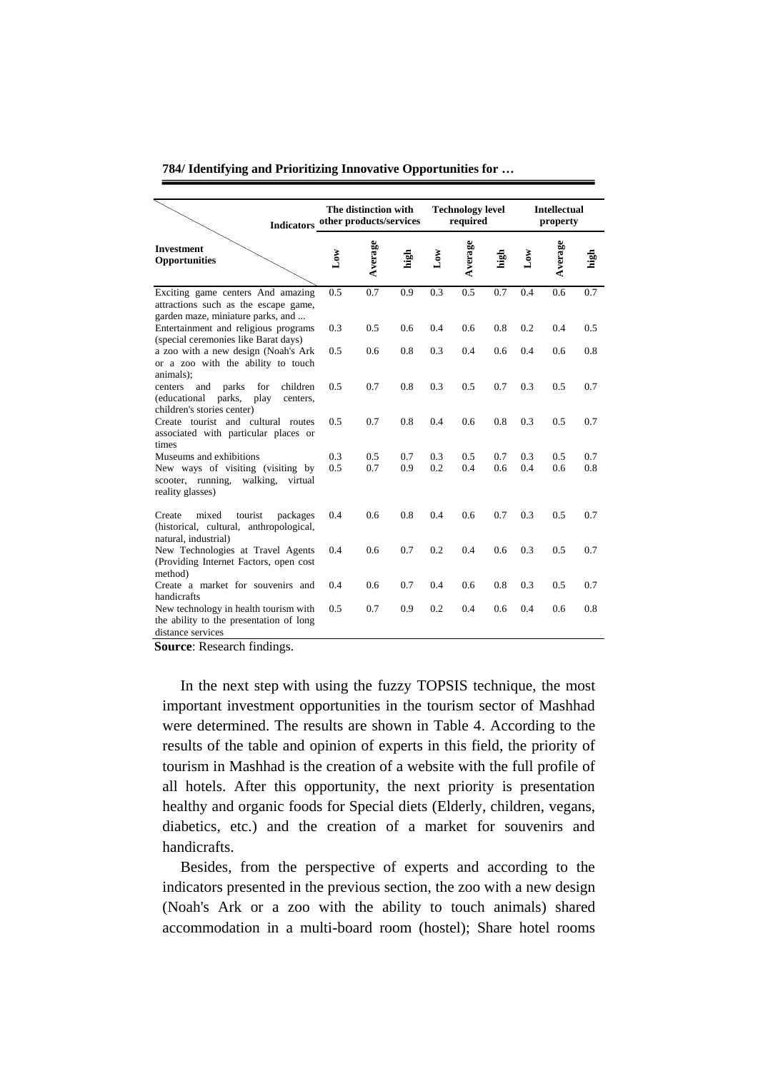| <b>Indicators</b>                                                                                                      | The distinction with<br>other products/services |         |      | <b>Technology level</b><br>required |         |      | <b>Intellectual</b><br>property |         |      |
|------------------------------------------------------------------------------------------------------------------------|-------------------------------------------------|---------|------|-------------------------------------|---------|------|---------------------------------|---------|------|
| <b>Investment</b><br><b>Opportunities</b>                                                                              | $_{\text{Low}}$                                 | Average | high | $\mathbf{L}\mathbf{ow}$             | Average | high | $\log$                          | Average | high |
| Exciting game centers And amazing<br>attractions such as the escape game,<br>garden maze, miniature parks, and         | 0.5                                             | 0.7     | 0.9  | 0.3                                 | 0.5     | 0.7  | 0.4                             | 0.6     | 0.7  |
| Entertainment and religious programs<br>(special ceremonies like Barat days)                                           | 0.3                                             | 0.5     | 0.6  | 0.4                                 | 0.6     | 0.8  | 0.2                             | 0.4     | 0.5  |
| a zoo with a new design (Noah's Ark<br>or a zoo with the ability to touch<br>animals);                                 | 0.5                                             | 0.6     | 0.8  | 0.3                                 | 0.4     | 0.6  | 0.4                             | 0.6     | 0.8  |
| and<br>parks<br>for<br>children<br>centers<br>play<br>(educational<br>parks,<br>centers,<br>children's stories center) | 0.5                                             | 0.7     | 0.8  | 0.3                                 | 0.5     | 0.7  | 0.3                             | 0.5     | 0.7  |
| Create tourist and cultural routes<br>associated with particular places or<br>times                                    | 0.5                                             | 0.7     | 0.8  | 0.4                                 | 0.6     | 0.8  | 0.3                             | 0.5     | 0.7  |
| Museums and exhibitions                                                                                                | 0.3                                             | 0.5     | 0.7  | 0.3                                 | 0.5     | 0.7  | 0.3                             | 0.5     | 0.7  |
| New ways of visiting (visiting by<br>scooter, running,<br>walking,<br>virtual<br>reality glasses)                      | 0.5                                             | 0.7     | 0.9  | 0.2                                 | 0.4     | 0.6  | 0.4                             | 0.6     | 0.8  |
| Create<br>mixed<br>tourist<br>packages<br>(historical, cultural, anthropological,<br>natural, industrial)              | 0.4                                             | 0.6     | 0.8  | 0.4                                 | 0.6     | 0.7  | 0.3                             | 0.5     | 0.7  |
| New Technologies at Travel Agents<br>(Providing Internet Factors, open cost<br>method)                                 | 0.4                                             | 0.6     | 0.7  | 0.2                                 | 0.4     | 0.6  | 0.3                             | 0.5     | 0.7  |
| Create a market for souvenirs and<br>handicrafts                                                                       | 0.4                                             | 0.6     | 0.7  | 0.4                                 | 0.6     | 0.8  | 0.3                             | 0.5     | 0.7  |
| New technology in health tourism with<br>the ability to the presentation of long<br>distance services                  | 0.5                                             | 0.7     | 0.9  | 0.2                                 | 0.4     | 0.6  | 0.4                             | 0.6     | 0.8  |

**Source**: Research findings.

In the next step with using the fuzzy TOPSIS technique, the most important investment opportunities in the tourism sector of Mashhad were determined. The results are shown in Table 4. According to the results of the table and opinion of experts in this field, the priority of tourism in Mashhad is the creation of a website with the full profile of all hotels. After this opportunity, the next priority is presentation healthy and organic foods for Special diets (Elderly, children, vegans, diabetics, etc.) and the creation of a market for souvenirs and handicrafts.

Besides, from the perspective of experts and according to the indicators presented in the previous section, the zoo with a new design (Noah's Ark or a zoo with the ability to touch animals) shared accommodation in a multi-board room (hostel); Share hotel rooms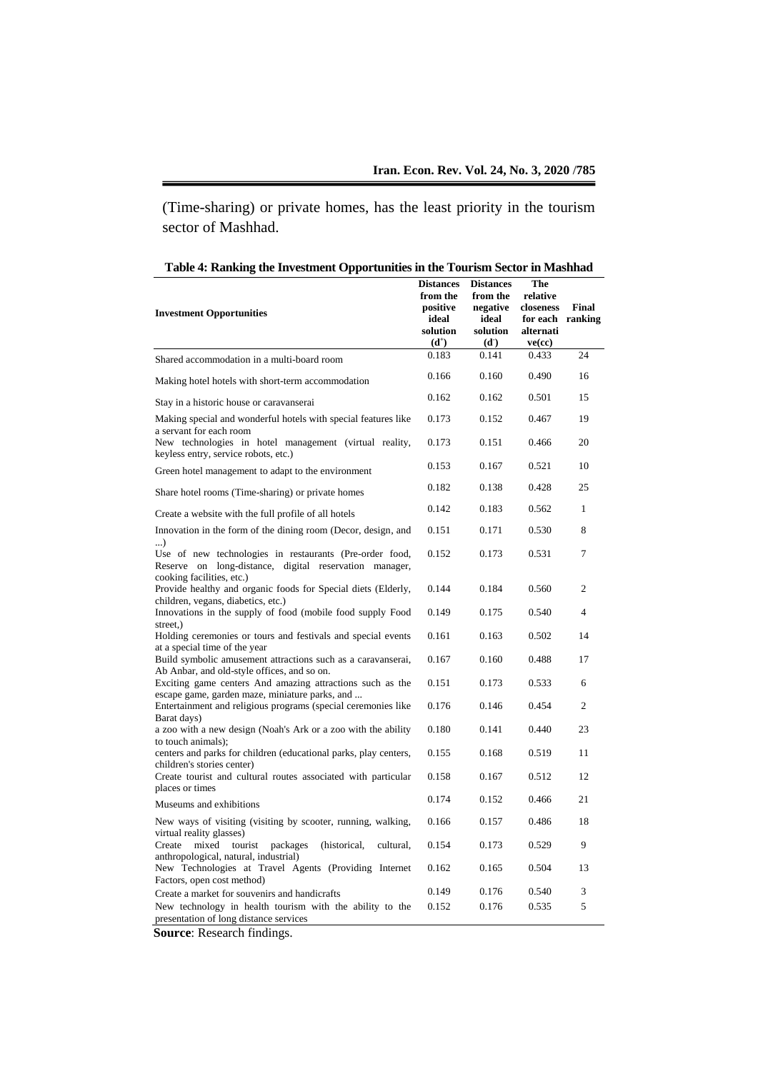(Time-sharing) or private homes, has the least priority in the tourism sector of Mashhad.

| Table 4: Ranking the Investment Opportunities in the Tourism Sector in Mashhad |  |
|--------------------------------------------------------------------------------|--|
|                                                                                |  |

| <b>Investment Opportunities</b>                                                                                                              | <b>Distances</b><br>from the<br>positive<br>ideal<br>solution<br>$(d^+)$ | <b>Distances</b><br>from the<br>negative<br>ideal<br>solution<br>(d <sub>1</sub> ) | The<br>relative<br>closeness<br>for each ranking<br>alternati<br>ve(cc) | Final          |
|----------------------------------------------------------------------------------------------------------------------------------------------|--------------------------------------------------------------------------|------------------------------------------------------------------------------------|-------------------------------------------------------------------------|----------------|
| Shared accommodation in a multi-board room                                                                                                   | 0.183                                                                    | 0.141                                                                              | 0.433                                                                   | 24             |
| Making hotel hotels with short-term accommodation                                                                                            | 0.166                                                                    | 0.160                                                                              | 0.490                                                                   | 16             |
| Stay in a historic house or caravanserai                                                                                                     | 0.162                                                                    | 0.162                                                                              | 0.501                                                                   | 15             |
| Making special and wonderful hotels with special features like<br>a servant for each room                                                    | 0.173                                                                    | 0.152                                                                              | 0.467                                                                   | 19             |
| New technologies in hotel management (virtual reality,<br>keyless entry, service robots, etc.)                                               | 0.173                                                                    | 0.151                                                                              | 0.466                                                                   | 20             |
| Green hotel management to adapt to the environment                                                                                           | 0.153                                                                    | 0.167                                                                              | 0.521                                                                   | 10             |
| Share hotel rooms (Time-sharing) or private homes                                                                                            | 0.182                                                                    | 0.138                                                                              | 0.428                                                                   | 25             |
| Create a website with the full profile of all hotels                                                                                         | 0.142                                                                    | 0.183                                                                              | 0.562                                                                   | $\mathbf{1}$   |
| Innovation in the form of the dining room (Decor, design, and                                                                                | 0.151                                                                    | 0.171                                                                              | 0.530                                                                   | 8              |
| $\ldots$<br>Use of new technologies in restaurants (Pre-order food,<br>Reserve on long-distance, digital reservation manager,                | 0.152                                                                    | 0.173                                                                              | 0.531                                                                   | $\overline{7}$ |
| cooking facilities, etc.)<br>Provide healthy and organic foods for Special diets (Elderly,<br>children, vegans, diabetics, etc.)             | 0.144                                                                    | 0.184                                                                              | 0.560                                                                   | $\overline{2}$ |
| Innovations in the supply of food (mobile food supply Food<br>street,)                                                                       | 0.149                                                                    | 0.175                                                                              | 0.540                                                                   | $\overline{4}$ |
| Holding ceremonies or tours and festivals and special events                                                                                 | 0.161                                                                    | 0.163                                                                              | 0.502                                                                   | 14             |
| at a special time of the year<br>Build symbolic amusement attractions such as a caravanserai,<br>Ab Anbar, and old-style offices, and so on. | 0.167                                                                    | 0.160                                                                              | 0.488                                                                   | 17             |
| Exciting game centers And amazing attractions such as the                                                                                    | 0.151                                                                    | 0.173                                                                              | 0.533                                                                   | 6              |
| escape game, garden maze, miniature parks, and<br>Entertainment and religious programs (special ceremonies like                              | 0.176                                                                    | 0.146                                                                              | 0.454                                                                   | $\overline{c}$ |
| Barat days)<br>a zoo with a new design (Noah's Ark or a zoo with the ability                                                                 | 0.180                                                                    | 0.141                                                                              | 0.440                                                                   | 23             |
| to touch animals);<br>centers and parks for children (educational parks, play centers,                                                       | 0.155                                                                    | 0.168                                                                              | 0.519                                                                   | 11             |
| children's stories center)<br>Create tourist and cultural routes associated with particular                                                  | 0.158                                                                    | 0.167                                                                              | 0.512                                                                   | 12             |
| places or times<br>Museums and exhibitions                                                                                                   | 0.174                                                                    | 0.152                                                                              | 0.466                                                                   | 21             |
| New ways of visiting (visiting by scooter, running, walking,                                                                                 | 0.166                                                                    | 0.157                                                                              | 0.486                                                                   | 18             |
| virtual reality glasses)<br>Create<br>mixed<br>tourist<br>packages<br>(historical,<br>cultural,                                              | 0.154                                                                    | 0.173                                                                              | 0.529                                                                   | 9              |
| anthropological, natural, industrial)<br>New Technologies at Travel Agents (Providing Internet                                               | 0.162                                                                    | 0.165                                                                              | 0.504                                                                   | 13             |
| Factors, open cost method)<br>Create a market for souvenirs and handicrafts                                                                  | 0.149                                                                    | 0.176                                                                              | 0.540                                                                   | 3              |
| New technology in health tourism with the ability to the<br>presentation of long distance services                                           | 0.152                                                                    | 0.176                                                                              | 0.535                                                                   | 5              |

**Source**: Research findings.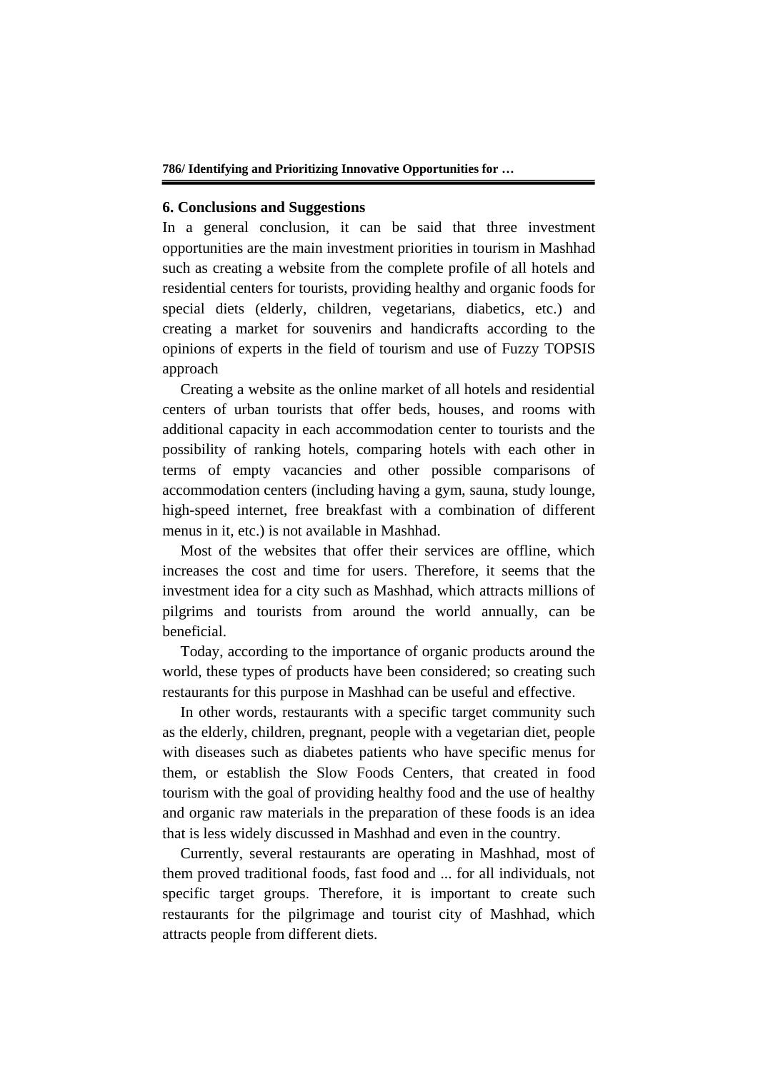#### **6. Conclusions and Suggestions**

In a general conclusion, it can be said that three investment opportunities are the main investment priorities in tourism in Mashhad such as creating a website from the complete profile of all hotels and residential centers for tourists, providing healthy and organic foods for special diets (elderly, children, vegetarians, diabetics, etc.) and creating a market for souvenirs and handicrafts according to the opinions of experts in the field of tourism and use of Fuzzy TOPSIS approach

Creating a website as the online market of all hotels and residential centers of urban tourists that offer beds, houses, and rooms with additional capacity in each accommodation center to tourists and the possibility of ranking hotels, comparing hotels with each other in terms of empty vacancies and other possible comparisons of accommodation centers (including having a gym, sauna, study lounge, high-speed internet, free breakfast with a combination of different menus in it, etc.) is not available in Mashhad.

Most of the websites that offer their services are offline, which increases the cost and time for users. Therefore, it seems that the investment idea for a city such as Mashhad, which attracts millions of pilgrims and tourists from around the world annually, can be beneficial.

Today, according to the importance of organic products around the world, these types of products have been considered; so creating such restaurants for this purpose in Mashhad can be useful and effective.

In other words, restaurants with a specific target community such as the elderly, children, pregnant, people with a vegetarian diet, people with diseases such as diabetes patients who have specific menus for them, or establish the Slow Foods Centers, that created in food tourism with the goal of providing healthy food and the use of healthy and organic raw materials in the preparation of these foods is an idea that is less widely discussed in Mashhad and even in the country.

Currently, several restaurants are operating in Mashhad, most of them proved traditional foods, fast food and ... for all individuals, not specific target groups. Therefore, it is important to create such restaurants for the pilgrimage and tourist city of Mashhad, which attracts people from different diets.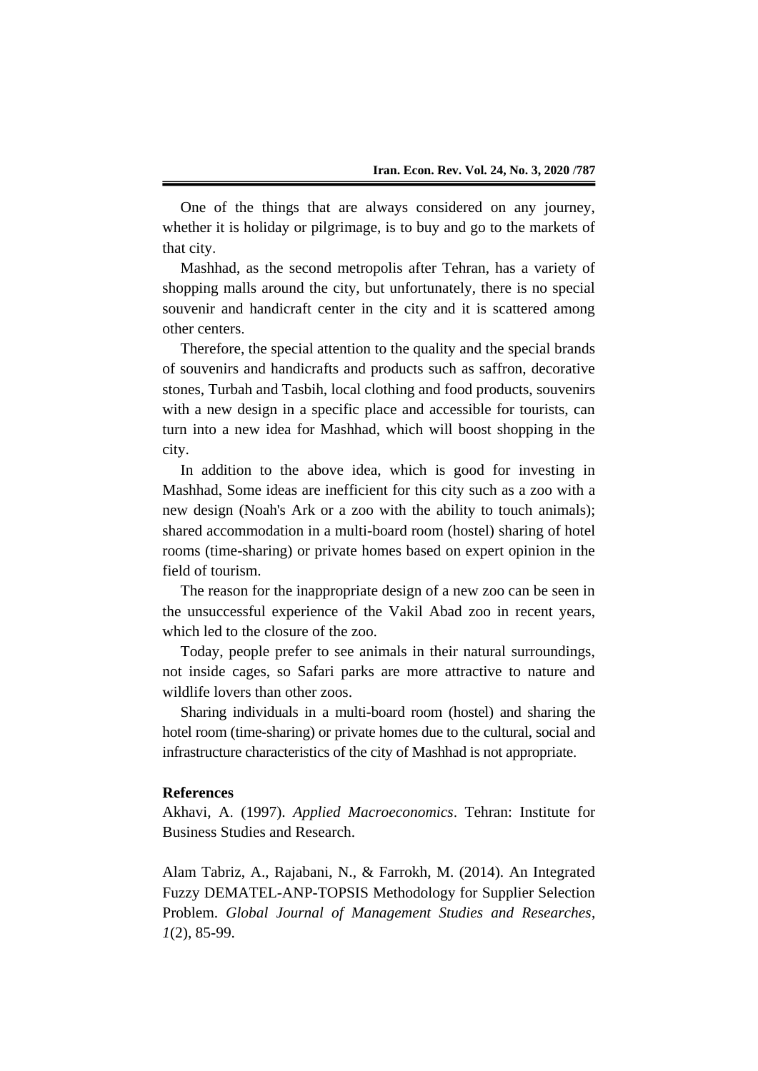One of the things that are always considered on any journey, whether it is holiday or pilgrimage, is to buy and go to the markets of that city.

Mashhad, as the second metropolis after Tehran, has a variety of shopping malls around the city, but unfortunately, there is no special souvenir and handicraft center in the city and it is scattered among other centers.

Therefore, the special attention to the quality and the special brands of souvenirs and handicrafts and products such as saffron, decorative stones, Turbah and Tasbih, local clothing and food products, souvenirs with a new design in a specific place and accessible for tourists, can turn into a new idea for Mashhad, which will boost shopping in the city.

In addition to the above idea, which is good for investing in Mashhad, Some ideas are inefficient for this city such as a zoo with a new design (Noah's Ark or a zoo with the ability to touch animals); shared accommodation in a multi-board room (hostel) sharing of hotel rooms (time-sharing) or private homes based on expert opinion in the field of tourism.

The reason for the inappropriate design of a new zoo can be seen in the unsuccessful experience of the Vakil Abad zoo in recent years, which led to the closure of the zoo.

Today, people prefer to see animals in their natural surroundings, not inside cages, so Safari parks are more attractive to nature and wildlife lovers than other zoos.

Sharing individuals in a multi-board room (hostel) and sharing the hotel room (time-sharing) or private homes due to the cultural, social and infrastructure characteristics of the city of Mashhad is not appropriate.

#### **References**

Akhavi, A. (1997). *Applied Macroeconomics*. Tehran: Institute for Business Studies and Research.

Alam Tabriz, A., Rajabani, N., & Farrokh, M. (2014). An Integrated Fuzzy DEMATEL-ANP-TOPSIS Methodology for Supplier Selection Problem. *Global Journal of Management Studies and Researches*, *1*(2), 85-99.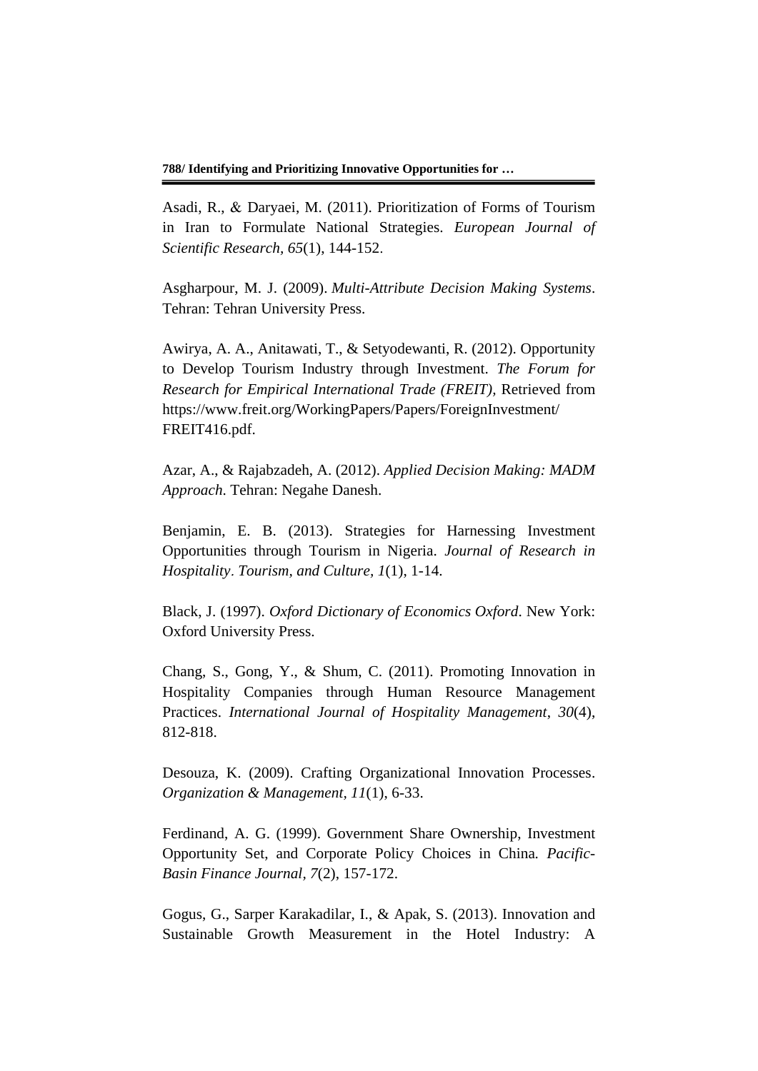Asadi, R., & Daryaei, M. (2011). Prioritization of Forms of Tourism in Iran to Formulate National Strategies. *European Journal of Scientific Research, 65*(1), 144-152.

Asgharpour, M. J. (2009). *Multi-Attribute Decision Making Systems*. Tehran: Tehran University Press.

Awirya, A. A., Anitawati, T., & Setyodewanti, R. (2012). Opportunity to Develop Tourism Industry through Investment. *The Forum for Research for Empirical International Trade (FREIT),* Retrieved from https://www.freit.org/WorkingPapers/Papers/ForeignInvestment/ FREIT416.pdf.

Azar, A., & Rajabzadeh, A. (2012). *Applied Decision Making: MADM Approach*. Tehran: Negahe Danesh.

Benjamin, E. B. (2013). Strategies for Harnessing Investment Opportunities through Tourism in Nigeria. *Journal of Research in Hospitality*. *Tourism, and Culture, 1*(1), 1-14.

Black, J. (1997). *Oxford Dictionary of Economics Oxford*. New York: Oxford University Press.

Chang, S., Gong, Y., & Shum, C. (2011). Promoting Innovation in Hospitality Companies through Human Resource Management Practices. *International Journal of Hospitality Management*, *30*(4), 812-818.

Desouza, K. (2009). Crafting Organizational Innovation Processes. *Organization & Management, 11*(1), 6-33.

Ferdinand, A. G. (1999). Government Share Ownership, Investment Opportunity Set, and Corporate Policy Choices in China*. Pacific-Basin Finance Journal, 7*(2), 157-172.

Gogus, G., Sarper Karakadilar, I., & Apak, S. (2013). Innovation and Sustainable Growth Measurement in the Hotel Industry: A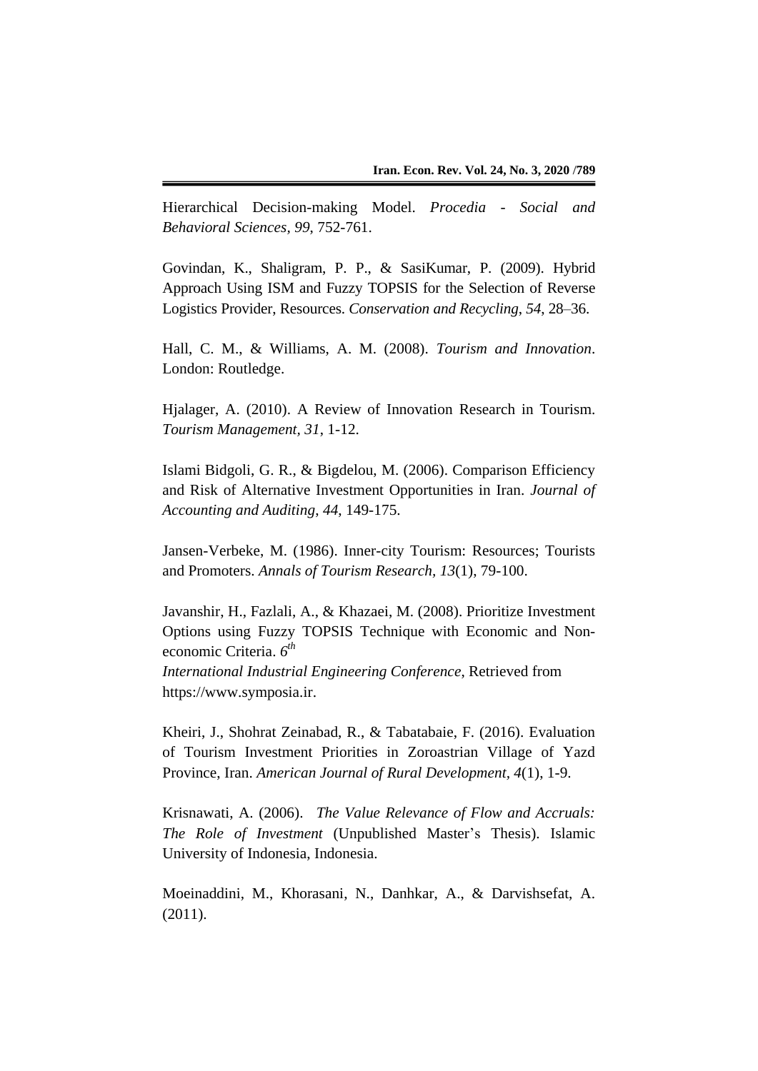Hierarchical Decision-making Model. *Procedia - Social and Behavioral Sciences, 99*, 752-761.

Govindan, K., Shaligram, P. P., & SasiKumar, P. (2009). Hybrid Approach Using ISM and Fuzzy TOPSIS for the Selection of Reverse Logistics Provider, Resources. *Conservation and Recycling*, *54*, 28–36.

Hall, C. M., & Williams, A. M. (2008). *Tourism and Innovation*. London: Routledge.

Hjalager, A. (2010). A Review of Innovation Research in Tourism. *Tourism Management, 31*, 1-12.

Islami Bidgoli, G. R., & Bigdelou, M. (2006). Comparison Efficiency and Risk of Alternative Investment Opportunities in Iran. *Journal of Accounting and Auditing*, *44*, 149-175.

Jansen-Verbeke, M. (1986). Inner-city Tourism: Resources; Tourists and Promoters. *Annals of Tourism Research, 13*(1), 79-100.

Javanshir, H., Fazlali, A., & Khazaei, M. (2008). Prioritize Investment Options using Fuzzy TOPSIS Technique with Economic and Noneconomic Criteria. *6 th*

*International Industrial Engineering Conference*, Retrieved from https://www.symposia.ir.

Kheiri, J., Shohrat Zeinabad, R., & Tabatabaie, F. (2016). Evaluation of Tourism Investment Priorities in Zoroastrian Village of Yazd Province, Iran. *American Journal of Rural Development, 4*(1), 1-9.

Krisnawati, A. (2006). *The Value Relevance of Flow and Accruals: The Role of Investment* (Unpublished Master's Thesis). Islamic University of Indonesia, Indonesia.

Moeinaddini, M., Khorasani, N., Danhkar, A., & Darvishsefat, A. (2011).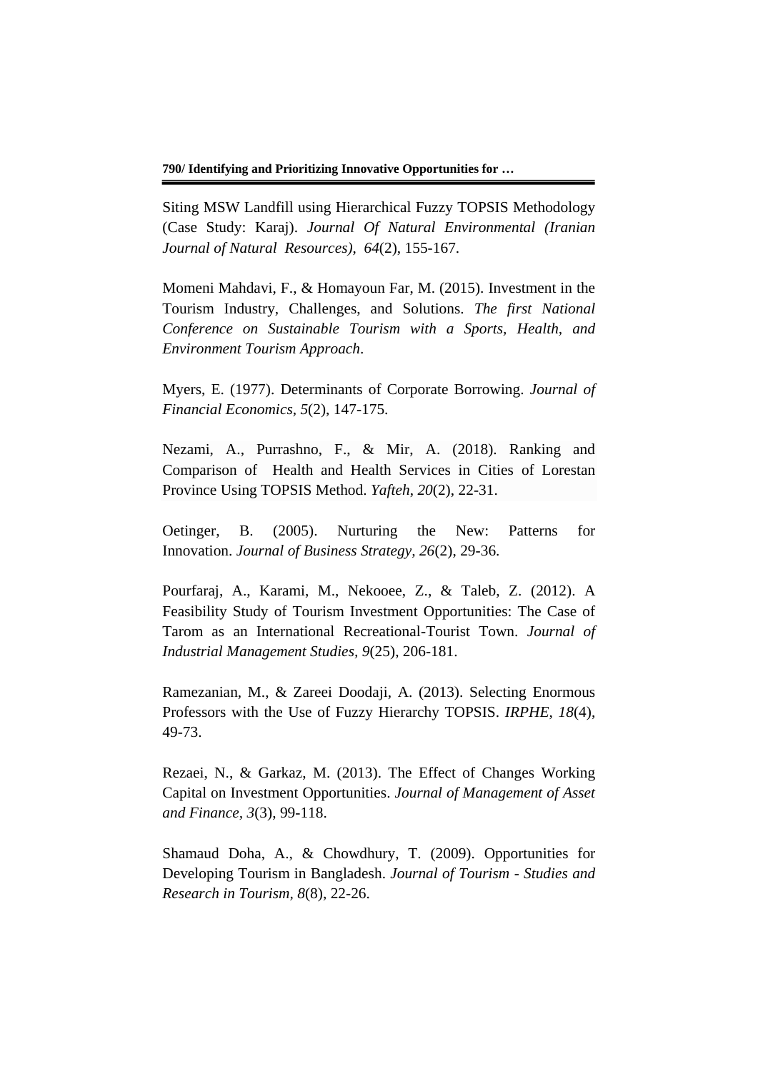Siting MSW Landfill using Hierarchical Fuzzy TOPSIS Methodology (Case Study: Karaj). *Journal Of Natural Environmental (Iranian Journal of Natural Resources)*, *64*(2), 155-167.

Momeni Mahdavi, F., & Homayoun Far, M. (2015). Investment in the Tourism Industry, Challenges, and Solutions. *The first National Conference on Sustainable Tourism with a Sports, Health, and Environment Tourism Approach*.

Myers, E. (1977). Determinants of Corporate Borrowing. *Journal of Financial Economics, 5*(2), 147-175.

Nezami, A., Purrashno, F., & Mir, A. (2018). Ranking and Comparison of Health and Health Services in Cities of Lorestan Province Using TOPSIS Method. *Yafteh*, *20*(2), 22-31.

Oetinger, B. (2005). Nurturing the New: Patterns for Innovation. *Journal of Business Strategy, 26*(2), 29-36.

Pourfaraj, A., Karami, M., Nekooee, Z., & Taleb, Z. (2012). A Feasibility Study of Tourism Investment Opportunities: The Case of Tarom as an International Recreational-Tourist Town. *Journal of Industrial Management Studies, 9*(25), 206-181.

Ramezanian, M., & Zareei Doodaji, A. (2013). Selecting Enormous Professors with the Use of Fuzzy Hierarchy TOPSIS. *IRPHE*, *18*(4), 49-73.

Rezaei, N., & Garkaz, M. (2013). The Effect of Changes Working Capital on Investment Opportunities. *Journal of Management of Asset and Finance, 3*(3), 99-118.

Shamaud Doha, A., & Chowdhury, T. (2009). Opportunities for Developing Tourism in Bangladesh. *Journal of Tourism - Studies and Research in Tourism, 8*(8), 22-26.